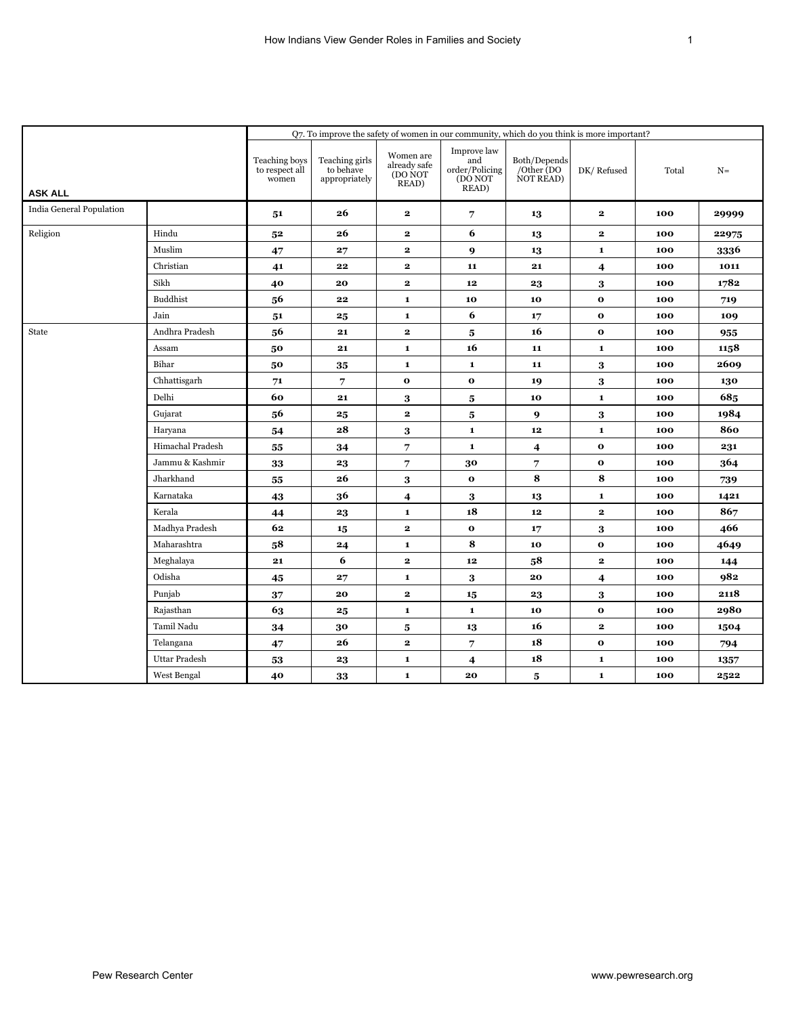|                          |                      |                                          | Q7. To improve the safety of women in our community, which do you think is more important? |                                               |                                                          |                                         |                         |       |       |  |  |  |
|--------------------------|----------------------|------------------------------------------|--------------------------------------------------------------------------------------------|-----------------------------------------------|----------------------------------------------------------|-----------------------------------------|-------------------------|-------|-------|--|--|--|
| <b>ASK ALL</b>           |                      | Teaching boys<br>to respect all<br>women | Teaching girls<br>to behave<br>appropriately                                               | Women are<br>already safe<br>(DO NOT<br>READ) | Improve law<br>and<br>order/Policing<br>(DO NOT<br>READ) | Both/Depends<br>/Other (DO<br>NOT READ) | DK/Refused              | Total | $N =$ |  |  |  |
| India General Population |                      | 51                                       | 26                                                                                         | $\mathbf{2}$                                  | 7                                                        | 13                                      | $\overline{\mathbf{2}}$ | 100   | 29999 |  |  |  |
| Religion                 | Hindu                | 5 <sup>2</sup>                           | 26                                                                                         | $\mathbf{2}$                                  | 6                                                        | 13                                      | $\bf 2$                 | 100   | 22975 |  |  |  |
|                          | Muslim               | 47                                       | 27                                                                                         | $\mathbf{2}$                                  | 9                                                        | 13                                      | $\mathbf{1}$            | 100   | 3336  |  |  |  |
|                          | Christian            | 41                                       | 22                                                                                         | $\mathbf{2}$                                  | 11                                                       | 21                                      | $\overline{\mathbf{4}}$ | 100   | 1011  |  |  |  |
|                          | Sikh                 | 40                                       | 20                                                                                         | $\mathbf{2}$                                  | 12                                                       | 23                                      | 3                       | 100   | 1782  |  |  |  |
|                          | <b>Buddhist</b>      | 56                                       | 22                                                                                         | 1                                             | 10                                                       | 10                                      | $\mathbf{o}$            | 100   | 719   |  |  |  |
|                          | Jain                 | 51                                       | 25                                                                                         | $\mathbf 1$                                   | 6                                                        | 17                                      | $\mathbf 0$             | 100   | 109   |  |  |  |
| State                    | Andhra Pradesh       | 56                                       | 21                                                                                         | $\mathbf{2}$                                  | $\bf 5$                                                  | 16                                      | $\mathbf 0$             | 100   | 955   |  |  |  |
|                          | Assam                | 50                                       | 21                                                                                         | $\mathbf{1}$                                  | 16                                                       | 11                                      | $\mathbf{1}$            | 100   | 1158  |  |  |  |
|                          | Bihar                | 50                                       | 35                                                                                         | $\mathbf 1$                                   | $\mathbf 1$                                              | 11                                      | $\bf{3}$                | 100   | 2609  |  |  |  |
|                          | Chhattisgarh         | 71                                       | 7                                                                                          | $\mathbf 0$                                   | $\mathbf{o}$                                             | 19                                      | $\bf 3$                 | 100   | 130   |  |  |  |
|                          | Delhi                | 60                                       | 21                                                                                         | 3                                             | 5                                                        | 10                                      | $\mathbf 1$             | 100   | 685   |  |  |  |
|                          | Gujarat              | 56                                       | 25                                                                                         | $\mathbf{2}$                                  | 5                                                        | 9                                       | 3                       | 100   | 1984  |  |  |  |
|                          | Haryana              | 54                                       | 28                                                                                         | 3                                             | $\mathbf 1$                                              | ${\bf 12}$                              | $\mathbf 1$             | 100   | 860   |  |  |  |
|                          | Himachal Pradesh     | 55                                       | 34                                                                                         | 7                                             | $\mathbf 1$                                              | $\overline{\mathbf{4}}$                 | $\mathbf 0$             | 100   | 231   |  |  |  |
|                          | Jammu & Kashmir      | 33                                       | 23                                                                                         | 7                                             | 30                                                       | 7                                       | $\mathbf{o}$            | 100   | 364   |  |  |  |
|                          | Jharkhand            | 55                                       | 26                                                                                         | 3                                             | $\mathbf 0$                                              | 8                                       | 8                       | 100   | 739   |  |  |  |
|                          | Karnataka            | 43                                       | 36                                                                                         | $\overline{\mathbf{4}}$                       | 3                                                        | 13                                      | $\mathbf 1$             | 100   | 1421  |  |  |  |
|                          | Kerala               | 44                                       | 23                                                                                         | $\mathbf 1$                                   | 18                                                       | ${\bf 12}$                              | $\bf 2$                 | 100   | 867   |  |  |  |
|                          | Madhya Pradesh       | 62                                       | 15                                                                                         | $\mathbf{2}$                                  | $\mathbf{o}$                                             | 17                                      | 3                       | 100   | 466   |  |  |  |
|                          | Maharashtra          | 58                                       | 24                                                                                         | $\mathbf{1}$                                  | ${\bf 8}$                                                | 10                                      | $\mathbf 0$             | 100   | 4649  |  |  |  |
|                          | Meghalaya            | 21                                       | 6                                                                                          | $\mathbf{2}$                                  | $12\phantom{.0}$                                         | 58                                      | $\bf 2$                 | 100   | 144   |  |  |  |
|                          | Odisha               | 45                                       | 27                                                                                         | $\mathbf{1}$                                  | 3                                                        | 20                                      | $\overline{\mathbf{4}}$ | 100   | 982   |  |  |  |
|                          | Punjab               | 37                                       | 20                                                                                         | $\mathbf{2}$                                  | 15                                                       | 23                                      | 3                       | 100   | 2118  |  |  |  |
|                          | Rajasthan            | 63                                       | $\boldsymbol{25}$                                                                          | $\mathbf 1$                                   | $\mathbf 1$                                              | 10                                      | $\mathbf 0$             | 100   | 2980  |  |  |  |
|                          | Tamil Nadu           | 34                                       | 30                                                                                         | 5                                             | 13                                                       | 16                                      | $\bf 2$                 | 100   | 1504  |  |  |  |
|                          | Telangana            | 47                                       | 26                                                                                         | $\mathbf{2}$                                  | 7                                                        | 18                                      | $\mathbf{o}$            | 100   | 794   |  |  |  |
|                          | <b>Uttar Pradesh</b> | 53                                       | 23                                                                                         | 1                                             | 4                                                        | 18                                      | $\mathbf 1$             | 100   | 1357  |  |  |  |
|                          | West Bengal          | 40                                       | 33                                                                                         | $\mathbf{1}$                                  | 20                                                       | 5                                       | $\mathbf 1$             | 100   | 2522  |  |  |  |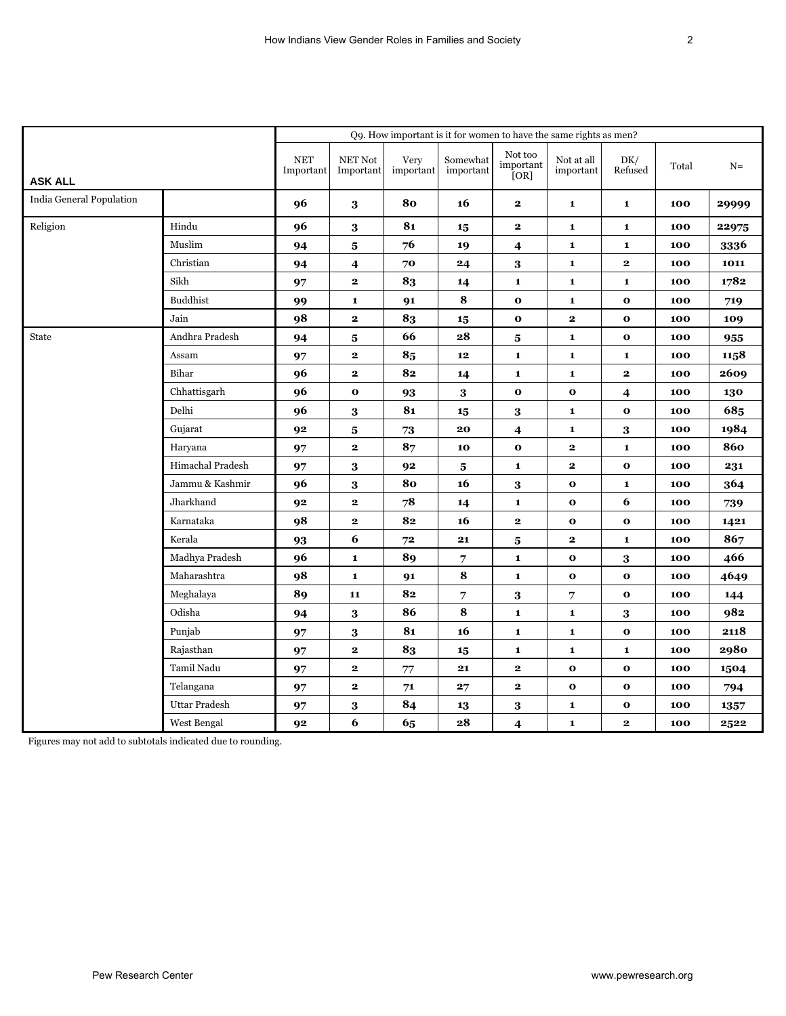|                          |                      |                         |                                       |                   | Q9. How important is it for women to have the same rights as men? |                              |                         |                |       |       |
|--------------------------|----------------------|-------------------------|---------------------------------------|-------------------|-------------------------------------------------------------------|------------------------------|-------------------------|----------------|-------|-------|
| <b>ASK ALL</b>           |                      | <b>NET</b><br>Important | $\operatorname{NET}$ Not<br>Important | Very<br>important | Somewhat<br>important                                             | Not too<br>important<br>[OR] | Not at all<br>important | DK/<br>Refused | Total | $N=$  |
| India General Population |                      | 96                      | $\bf{3}$                              | 80                | 16                                                                | $\mathbf 2$                  | $\mathbf{1}$            | $\mathbf{1}$   | 100   | 29999 |
| Religion                 | Hindu                | 96                      | $\bf 3$                               | 81                | 15                                                                | $\mathbf{2}$                 | $\mathbf 1$             | $\mathbf{1}$   | 100   | 22975 |
|                          | Muslim               | 94                      | 5                                     | 76                | 19                                                                | $\overline{\mathbf{4}}$      | $\mathbf 1$             | $\mathbf{1}$   | 100   | 3336  |
|                          | Christian            | 94                      | 4                                     | 70                | 24                                                                | 3                            | $\mathbf 1$             | $\mathbf{2}$   | 100   | 1011  |
|                          | Sikh                 | 97                      | $\mathbf{2}$                          | 83                | 14                                                                | $\mathbf{1}$                 | $\mathbf{1}$            | $\mathbf{1}$   | 100   | 1782  |
|                          | <b>Buddhist</b>      | 99                      | $\mathbf{1}$                          | 91                | ${\bf 8}$                                                         | $\mathbf 0$                  | $\mathbf{1}$            | $\mathbf{o}$   | 100   | 719   |
|                          | Jain                 | 98                      | $\mathbf{2}$                          | 83                | 15                                                                | $\mathbf{o}$                 | $\mathbf 2$             | $\mathbf{o}$   | 100   | 109   |
| <b>State</b>             | Andhra Pradesh       | 94                      | 5                                     | 66                | 28                                                                | 5                            | $\mathbf{1}$            | $\mathbf{o}$   | 100   | 955   |
|                          | Assam                | 97                      | $\mathbf 2$                           | 85                | $\bf 12$                                                          | $\mathbf{1}$                 | $\mathbf{1}$            | $\mathbf{1}$   | 100   | 1158  |
|                          | Bihar                | 96                      | $\mathbf{2}$                          | 82                | 14                                                                | $\mathbf{1}$                 | $\mathbf{1}$            | $\mathbf{2}$   | 100   | 2609  |
|                          | Chhattisgarh         | 96                      | $\mathbf 0$                           | 93                | $\bf{3}$                                                          | $\mathbf 0$                  | $\mathbf 0$             | 4              | 100   | 130   |
|                          | Delhi                | 96                      | 3                                     | 81                | 15                                                                | 3                            | $\mathbf 1$             | $\mathbf{o}$   | 100   | 685   |
|                          | Gujarat              | 92                      | $\bf{5}$                              | ${\bf 73}$        | 20                                                                | $\boldsymbol{4}$             | $\mathbf{1}$            | $\bf 3$        | 100   | 1984  |
|                          | Haryana              | 97                      | 2                                     | 87                | 10                                                                | $\mathbf 0$                  | $\overline{\mathbf{2}}$ | $\mathbf{1}$   | 100   | 860   |
|                          | Himachal Pradesh     | 97                      | $\bf{3}$                              | 92                | 5                                                                 | $\mathbf{1}$                 | $\mathbf 2$             | $\mathbf{o}$   | 100   | 231   |
|                          | Jammu & Kashmir      | 96                      | 3                                     | 80                | 16                                                                | 3                            | $\mathbf 0$             | $\mathbf{1}$   | 100   | 364   |
|                          | Jharkhand            | 92                      | $\mathbf 2$                           | 78                | 14                                                                | $\mathbf{1}$                 | $\mathbf 0$             | 6              | 100   | 739   |
|                          | Karnataka            | 98                      | $\overline{\mathbf{2}}$               | 82                | 16                                                                | $\mathbf{2}$                 | $\mathbf{o}$            | $\mathbf{o}$   | 100   | 1421  |
|                          | Kerala               | 93                      | 6                                     | 72                | 21                                                                | 5                            | $\overline{\mathbf{2}}$ | $\mathbf{1}$   | 100   | 867   |
|                          | Madhya Pradesh       | 96                      | $\mathbf 1$                           | 89                | $\overline{7}$                                                    | $\mathbf{1}$                 | $\mathbf 0$             | 3              | 100   | 466   |
|                          | Maharashtra          | 98                      | $\mathbf{1}$                          | 91                | ${\bf 8}$                                                         | $\mathbf{1}$                 | $\mathbf 0$             | $\mathbf{o}$   | 100   | 4649  |
|                          | Meghalaya            | 89                      | 11                                    | 82                | 7                                                                 | 3                            | 7                       | $\mathbf{o}$   | 100   | 144   |
|                          | Odisha               | 94                      | $\bf{3}$                              | 86                | 8                                                                 | $\mathbf 1$                  | $\mathbf 1$             | $\bf{3}$       | 100   | 982   |
|                          | Punjab               | 97                      | $\bf 3$                               | 81                | 16                                                                | $\mathbf{1}$                 | $\mathbf{1}$            | $\mathbf{o}$   | 100   | 2118  |
|                          | Rajasthan            | 97                      | $\mathbf 2$                           | 83                | 15                                                                | $\mathbf{1}$                 | $\mathbf{1}$            | $\mathbf{1}$   | 100   | 2980  |
|                          | Tamil Nadu           | 97                      | $\mathbf 2$                           | $77\,$            | 21                                                                | $\mathbf 2$                  | $\mathbf 0$             | $\mathbf{o}$   | 100   | 1504  |
|                          | Telangana            | 97                      | $\mathbf 2$                           | 71                | 27                                                                | $\mathbf 2$                  | $\mathbf{o}$            | $\mathbf{o}$   | 100   | 794   |
|                          | <b>Uttar Pradesh</b> | 97                      | $\bf 3$                               | 84                | 13                                                                | $\bf{3}$                     | $\mathbf 1$             | $\mathbf 0$    | 100   | 1357  |
|                          | West Bengal          | 92                      | 6                                     | 65                | 28                                                                | 4                            | $\mathbf{1}$            | 2              | 100   | 2522  |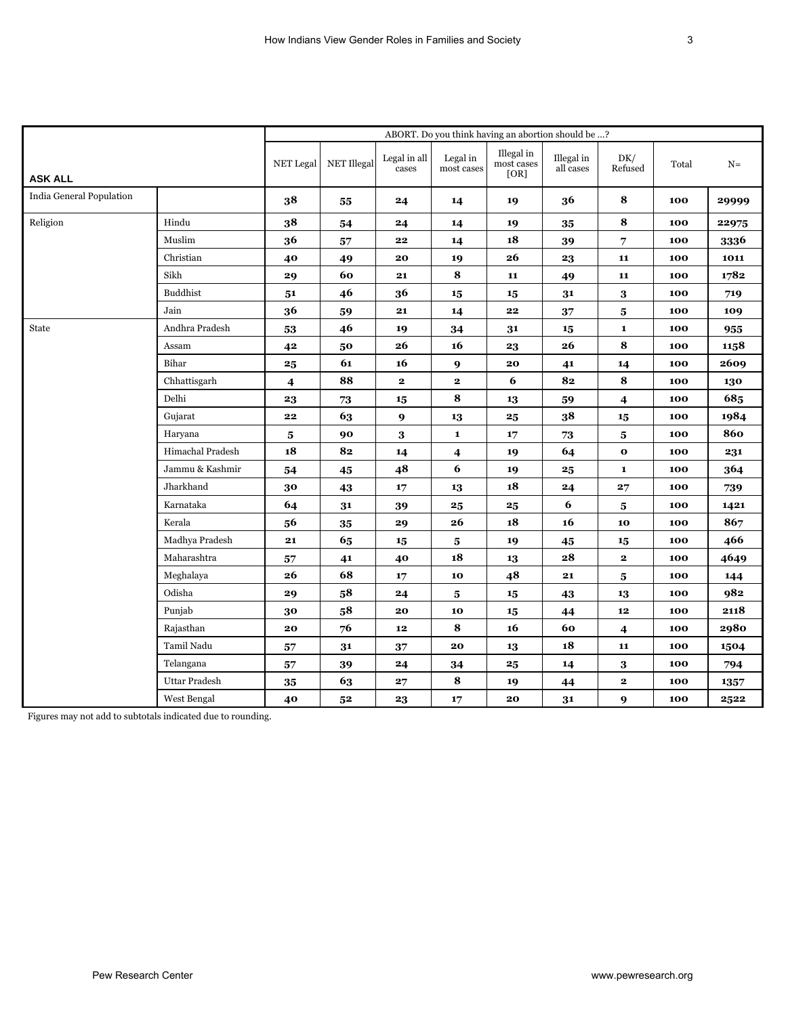|                          |                      |            |                |                       |                        | ABORT. Do you think having an abortion should be ? |                         |                         |       |       |
|--------------------------|----------------------|------------|----------------|-----------------------|------------------------|----------------------------------------------------|-------------------------|-------------------------|-------|-------|
| <b>ASK ALL</b>           |                      | NET Legal  | NET Illegal    | Legal in all<br>cases | Legal in<br>most cases | Illegal in<br>most cases<br>[OR]                   | Illegal in<br>all cases | DK/<br>Refused          | Total | $N =$ |
| India General Population |                      | 38         | 55             | 24                    | 14                     | 19                                                 | 36                      | $\bf8$                  | 100   | 29999 |
| Religion                 | Hindu                | 38         | 54             | 24                    | 14                     | 19                                                 | 35                      | $\bf8$                  | 100   | 22975 |
|                          | Muslim               | 36         | 57             | 22                    | 14                     | 18                                                 | 39                      | 7                       | 100   | 3336  |
|                          | Christian            | 40         | 49             | 20                    | 19                     | ${\bf 26}$                                         | 23                      | 11                      | 100   | 1011  |
|                          | Sikh                 | 29         | 60             | 21                    | 8                      | 11                                                 | 49                      | 11                      | 100   | 1782  |
|                          | <b>Buddhist</b>      | 51         | 46             | 36                    | 15                     | 15                                                 | 31                      | $\bf{3}$                | 100   | 719   |
|                          | Jain                 | 36         | 59             | 21                    | 14                     | 22                                                 | 37                      | $5\phantom{.0}$         | 100   | 109   |
| State                    | Andhra Pradesh       | 53         | 46             | 19                    | 34                     | 31                                                 | 15                      | $\mathbf{1}$            | 100   | 955   |
|                          | Assam                | 42         | 50             | 26                    | 16                     | 23                                                 | 26                      | 8                       | 100   | 1158  |
|                          | Bihar                | 25         | 61             | 16                    | 9                      | 20                                                 | 41                      | 14                      | 100   | 2609  |
|                          | Chhattisgarh         | 4          | 88             | $\mathbf{2}$          | $\mathbf{2}$           | 6                                                  | 82                      | $\bf8$                  | 100   | 130   |
|                          | Delhi                | 23         | $73\,$         | 15                    | 8                      | 13                                                 | 59                      | $\boldsymbol{4}$        | 100   | 685   |
|                          | Gujarat              | 22         | 63             | 9                     | 13                     | 25                                                 | 38                      | 15                      | 100   | 1984  |
|                          | Haryana              | 5          | 90             | 3                     | $\mathbf{1}$           | 17                                                 | 73                      | $\overline{\mathbf{5}}$ | 100   | 860   |
|                          | Himachal Pradesh     | 18         | 82             | 14                    | 4                      | 19                                                 | 64                      | $\mathbf 0$             | 100   | 231   |
|                          | Jammu & Kashmir      | 54         | 45             | 48                    | 6                      | 19                                                 | 25                      | $\mathbf{1}$            | 100   | 364   |
|                          | Jharkhand            | 30         | 43             | 17                    | 13                     | 18                                                 | 24                      | 27                      | 100   | 739   |
|                          | Karnataka            | 64         | 31             | 39                    | 25                     | $\boldsymbol{25}$                                  | 6                       | ${\bf 5}$               | 100   | 1421  |
|                          | Kerala               | 56         | 35             | 29                    | 26                     | 18                                                 | 16                      | 10                      | 100   | 867   |
|                          | Madhya Pradesh       | 21         | 65             | 15                    | 5                      | 19                                                 | 45                      | 15                      | 100   | 466   |
|                          | Maharashtra          | 57         | 41             | 40                    | 18                     | 13                                                 | 28                      | $\mathbf{2}$            | 100   | 4649  |
|                          | Meghalaya            | 26         | 68             | 17                    | 10                     | 48                                                 | 21                      | 5                       | 100   | 144   |
|                          | Odisha               | 29         | 58             | 24                    | 5                      | 15                                                 | 43                      | 13                      | 100   | 982   |
|                          | Punjab               | 30         | 58             | 20                    | 10                     | 15                                                 | 44                      | $12$                    | 100   | 2118  |
|                          | Rajasthan            | 20         | 76             | 12                    | 8                      | 16                                                 | 60                      | $\overline{\mathbf{4}}$ | 100   | 2980  |
|                          | Tamil Nadu           | 57         | 31             | 37                    | 20                     | 13                                                 | 18                      | 11                      | 100   | 1504  |
|                          | Telangana            | 57         | 39             | 24                    | 34                     | $\bf 25$                                           | 14                      | $\bf{3}$                | 100   | 794   |
|                          | <b>Uttar Pradesh</b> | ${\bf 35}$ | 63             | ${\bf 27}$            | 8                      | 19                                                 | 44                      | $\mathbf{2}$            | 100   | 1357  |
|                          | West Bengal          | 40         | 5 <sup>2</sup> | 23                    | 17                     | 20                                                 | 31                      | $\boldsymbol{9}$        | 100   | 2522  |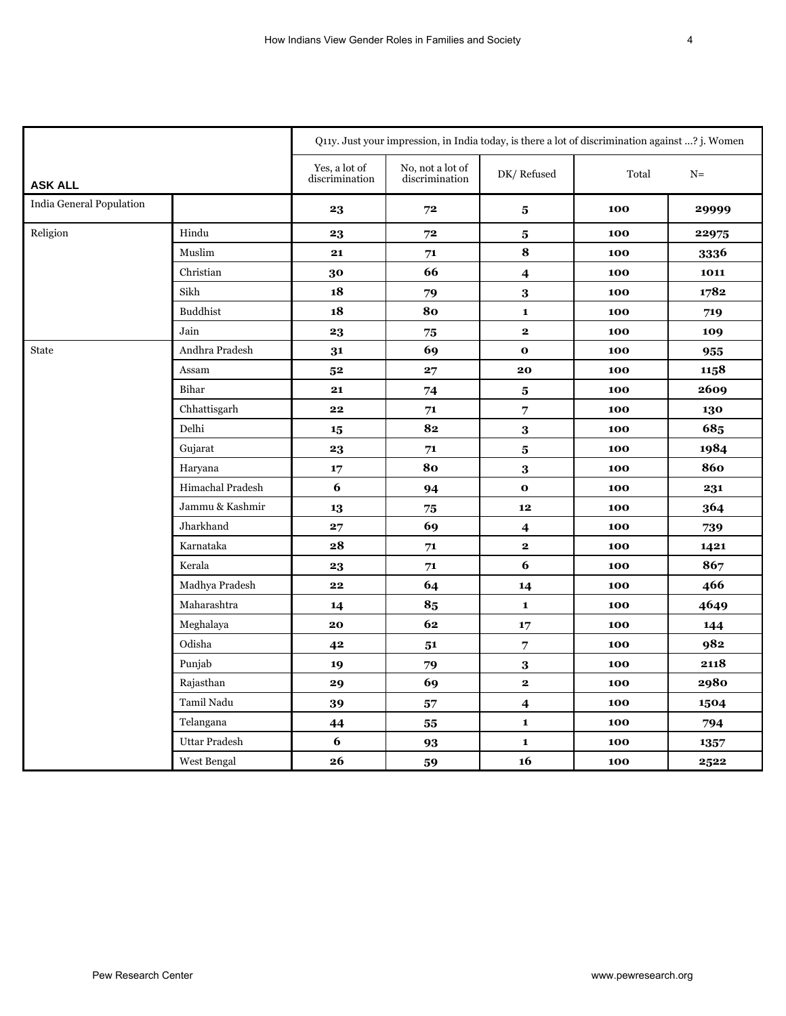| 4 |  |
|---|--|
|   |  |
|   |  |
|   |  |
|   |  |

|                          |                      | Q11y. Just your impression, in India today, is there a lot of discrimination against ? j. Women |                                    |                         |       |       |  |  |  |  |
|--------------------------|----------------------|-------------------------------------------------------------------------------------------------|------------------------------------|-------------------------|-------|-------|--|--|--|--|
| <b>ASK ALL</b>           |                      | Yes, a lot of<br>discrimination                                                                 | No, not a lot of<br>discrimination | DK/Refused              | Total | $N=$  |  |  |  |  |
| India General Population |                      | 23                                                                                              | 72                                 | ${\bf 5}$               | 100   | 29999 |  |  |  |  |
| Religion                 | Hindu                | 23                                                                                              | 72                                 | $\bf{5}$                | 100   | 22975 |  |  |  |  |
|                          | Muslim               | 21                                                                                              | 71                                 | $\bf{8}$                | 100   | 3336  |  |  |  |  |
|                          | Christian            | 30                                                                                              | 66                                 | $\overline{\mathbf{4}}$ | 100   | 1011  |  |  |  |  |
|                          | Sikh                 | 18                                                                                              | 79                                 | $\bf 3$                 | 100   | 1782  |  |  |  |  |
|                          | <b>Buddhist</b>      | 18                                                                                              | 80                                 | $\mathbf{1}$            | 100   | 719   |  |  |  |  |
|                          | Jain                 | 23                                                                                              | 75                                 | $\mathbf{2}$            | 100   | 109   |  |  |  |  |
| <b>State</b>             | Andhra Pradesh       | 31                                                                                              | 69                                 | $\mathbf{o}$            | 100   | 955   |  |  |  |  |
|                          | Assam                | 5 <sup>2</sup>                                                                                  | 27                                 | 20                      | 100   | 1158  |  |  |  |  |
|                          | Bihar                | 21                                                                                              | 74                                 | $\bf{5}$                | 100   | 2609  |  |  |  |  |
|                          | Chhattisgarh         | 22                                                                                              | 71                                 | $\overline{7}$          | 100   | 130   |  |  |  |  |
|                          | Delhi                | 15                                                                                              | 82                                 | $\bf 3$                 | 100   | 685   |  |  |  |  |
|                          | Gujarat              | 23                                                                                              | 71                                 | $\bf{5}$                | 100   | 1984  |  |  |  |  |
|                          | Haryana              | 17                                                                                              | 80                                 | $\bf 3$                 | 100   | 860   |  |  |  |  |
|                          | Himachal Pradesh     | 6                                                                                               | 94                                 | $\bf{o}$                | 100   | 231   |  |  |  |  |
|                          | Jammu & Kashmir      | 13                                                                                              | 75                                 | 12                      | 100   | 364   |  |  |  |  |
|                          | Jharkhand            | 27                                                                                              | 69                                 | $\overline{\mathbf{4}}$ | 100   | 739   |  |  |  |  |
|                          | Karnataka            | 28                                                                                              | ${\bf 71}$                         | $\mathbf{2}$            | 100   | 1421  |  |  |  |  |
|                          | Kerala               | 23                                                                                              | 71                                 | 6                       | 100   | 867   |  |  |  |  |
|                          | Madhya Pradesh       | 22                                                                                              | 64                                 | 14                      | 100   | 466   |  |  |  |  |
|                          | Maharashtra          | 14                                                                                              | 85                                 | $\mathbf{1}$            | 100   | 4649  |  |  |  |  |
|                          | Meghalaya            | 20                                                                                              | 62                                 | 17                      | 100   | 144   |  |  |  |  |
|                          | Odisha               | 42                                                                                              | 51                                 | $\overline{7}$          | 100   | 982   |  |  |  |  |
|                          | Punjab               | 19                                                                                              | 79                                 | $\bf 3$                 | 100   | 2118  |  |  |  |  |
|                          | Rajasthan            | 29                                                                                              | 69                                 | $\mathbf{2}$            | 100   | 2980  |  |  |  |  |
|                          | Tamil Nadu           | 39                                                                                              | 57                                 | $\overline{\mathbf{4}}$ | 100   | 1504  |  |  |  |  |
|                          | Telangana            | 44                                                                                              | 55                                 | $\mathbf{1}$            | 100   | 794   |  |  |  |  |
|                          | <b>Uttar Pradesh</b> | 6                                                                                               | 93                                 | $\mathbf{1}$            | 100   | 1357  |  |  |  |  |
|                          | West Bengal          | 26                                                                                              | 59                                 | 16                      | 100   | 2522  |  |  |  |  |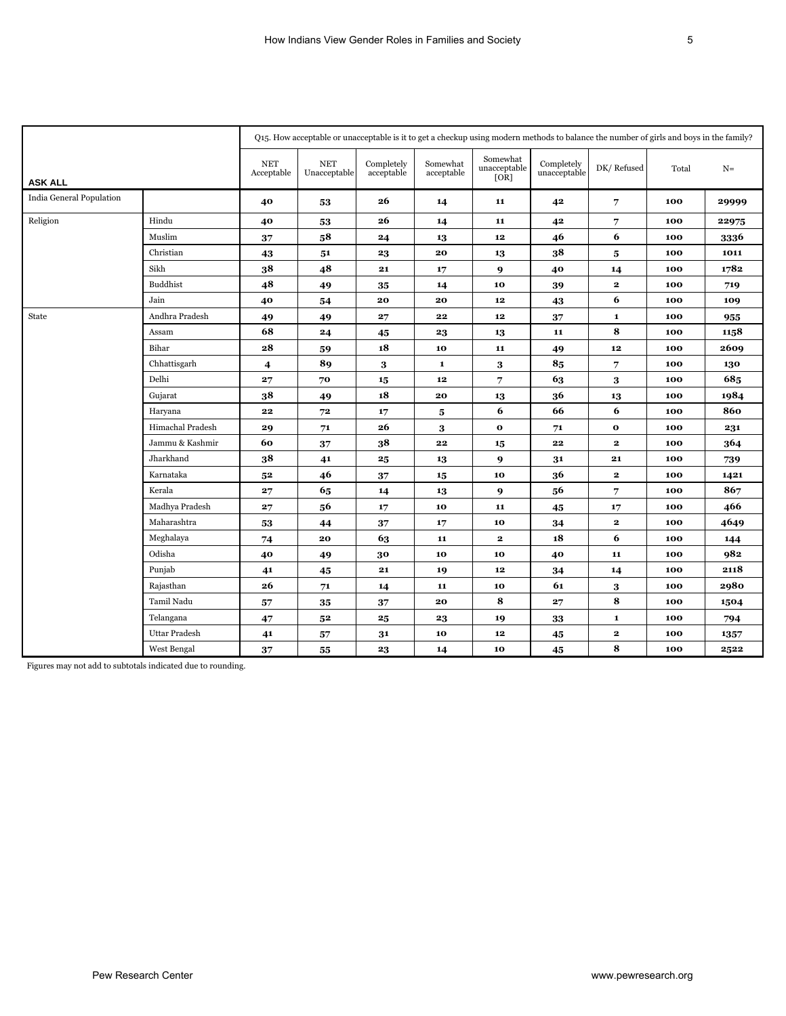|                          |                  |                          | Q15. How acceptable or unacceptable is it to get a checkup using modern methods to balance the number of girls and boys in the family? |                          |                         |                                  |                            |              |       |       |
|--------------------------|------------------|--------------------------|----------------------------------------------------------------------------------------------------------------------------------------|--------------------------|-------------------------|----------------------------------|----------------------------|--------------|-------|-------|
| <b>ASK ALL</b>           |                  | <b>NET</b><br>Acceptable | <b>NET</b><br>Unacceptable                                                                                                             | Completely<br>acceptable | Somewhat<br>acceptable  | Somewhat<br>unacceptable<br>[OR] | Completely<br>unacceptable | DK/Refused   | Total | $N =$ |
| India General Population |                  | 40                       | 53                                                                                                                                     | 26                       | 14                      | 11                               | 42                         | 7            | 100   | 29999 |
| Religion                 | Hindu            | 40                       | 53                                                                                                                                     | 26                       | 14                      | 11                               | 42                         | 7            | 100   | 22975 |
|                          | Muslim           | 37                       | 58                                                                                                                                     | 24                       | 13                      | 12                               | 46                         | 6            | 100   | 3336  |
|                          | Christian        | 43                       | 51                                                                                                                                     | 23                       | 20                      | 13                               | 38                         | 5            | 100   | 1011  |
|                          | Sikh             | 38                       | 48                                                                                                                                     | 21                       | 17                      | $\boldsymbol{9}$                 | 40                         | 14           | 100   | 1782  |
|                          | <b>Buddhist</b>  | 48                       | 49                                                                                                                                     | 35                       | 14                      | 10                               | 39                         | $\mathbf{2}$ | 100   | 719   |
|                          | Jain             | 40                       | 54                                                                                                                                     | 20                       | 20                      | $12$                             | 43                         | 6            | 100   | 109   |
| State                    | Andhra Pradesh   | 49                       | 49                                                                                                                                     | 27                       | 22                      | ${\bf 12}$                       | 37                         | $\mathbf{1}$ | 100   | 955   |
|                          | Assam            | 68                       | 24                                                                                                                                     | 45                       | 23                      | 13                               | 11                         | 8            | 100   | 1158  |
|                          | Bihar            | 28                       | 59                                                                                                                                     | 18                       | 10                      | 11                               | 49                         | 12           | 100   | 2609  |
|                          | Chhattisgarh     | $\overline{4}$           | 89                                                                                                                                     | $\bf{3}$                 | $\mathbf{1}$            | $\bf{3}$                         | 85                         | 7            | 100   | 130   |
|                          | Delhi            | 27                       | 70                                                                                                                                     | 15                       | $12\phantom{.0}$        | 7                                | 63                         | 3            | 100   | 685   |
|                          | Gujarat          | 38                       | 49                                                                                                                                     | 18                       | 20                      | 13                               | 36                         | 13           | 100   | 1984  |
|                          | Haryana          | 22                       | 72                                                                                                                                     | 17                       | $\overline{\mathbf{5}}$ | 6                                | 66                         | 6            | 100   | 860   |
|                          | Himachal Pradesh | 29                       | 71                                                                                                                                     | 26                       | 3                       | $\mathbf 0$                      | 71                         | $\mathbf{o}$ | 100   | 231   |
|                          | Jammu & Kashmir  | 60                       | 37                                                                                                                                     | 38                       | 22                      | 15                               | 22                         | $\mathbf{2}$ | 100   | 364   |
|                          | Jharkhand        | 38                       | 41                                                                                                                                     | 25                       | 13                      | $\boldsymbol{9}$                 | 31                         | 21           | 100   | 739   |
|                          | Karnataka        | 5 <sup>2</sup>           | 46                                                                                                                                     | 37                       | 15                      | 10                               | 36                         | $\mathbf{2}$ | 100   | 1421  |
|                          | Kerala           | 27                       | 65                                                                                                                                     | 14                       | 13                      | 9                                | 56                         | 7            | 100   | 867   |
|                          | Madhya Pradesh   | 27                       | 56                                                                                                                                     | 17                       | 10                      | 11                               | 45                         | 17           | 100   | 466   |
|                          | Maharashtra      | 53                       | 44                                                                                                                                     | 37                       | 17                      | 10                               | 34                         | $\mathbf{2}$ | 100   | 4649  |
|                          | Meghalaya        | 74                       | 20                                                                                                                                     | 63                       | 11                      | $\mathbf{2}$                     | 18                         | 6            | 100   | 144   |
|                          | Odisha           | 40                       | 49                                                                                                                                     | 30                       | 10                      | 10                               | 40                         | 11           | 100   | 982   |
|                          | Punjab           | 41                       | 45                                                                                                                                     | ${\bf 21}$               | 19                      | ${\bf 12}$                       | 34                         | 14           | 100   | 2118  |
|                          | Rajasthan        | 26                       | 71                                                                                                                                     | 14                       | 11                      | 10                               | 61                         | 3            | 100   | 2980  |
|                          | Tamil Nadu       | 57                       | 35                                                                                                                                     | 37                       | 20                      | 8                                | 27                         | 8            | 100   | 1504  |
|                          | Telangana        | 47                       | $5^2$                                                                                                                                  | 25                       | 23                      | 19                               | 33                         | $\mathbf{1}$ | 100   | 794   |
|                          | Uttar Pradesh    | 41                       | 57                                                                                                                                     | 31                       | 10                      | ${\bf 12}$                       | 45                         | $\mathbf{2}$ | 100   | 1357  |
|                          | West Bengal      | 37                       | 55                                                                                                                                     | 23                       | 14                      | 10                               | 45                         | 8            | 100   | 2522  |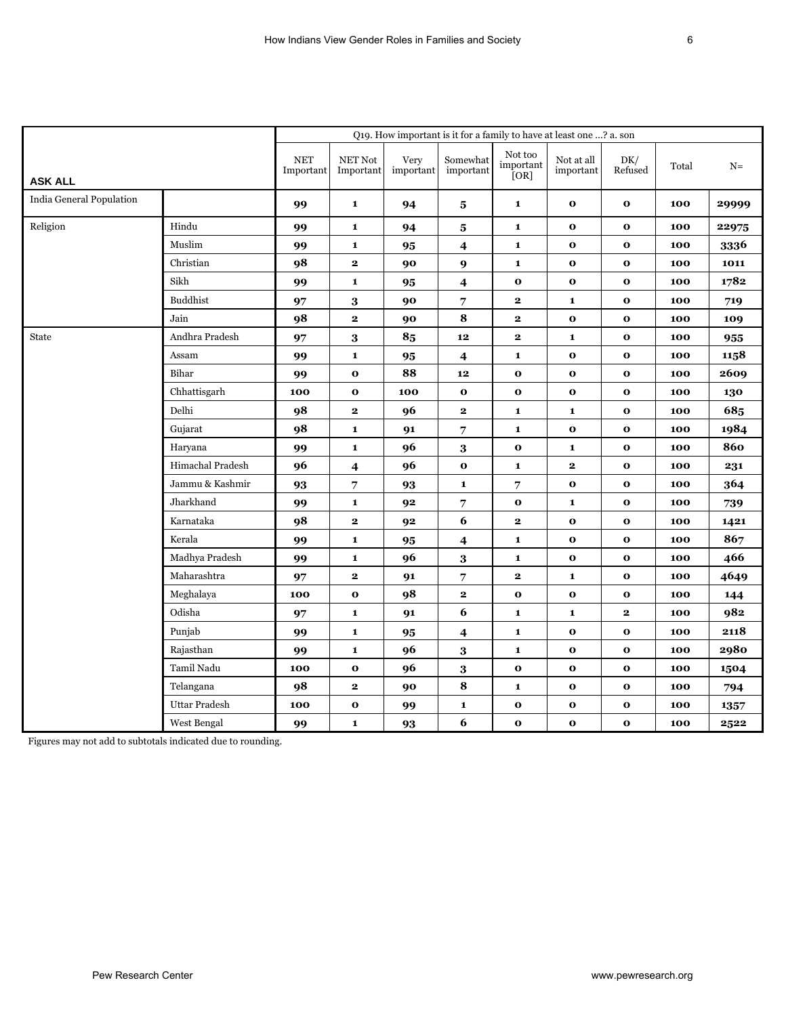|                          |                      | Q19. How important is it for a family to have at least one ? a. son |                      |                   |                          |                              |                         |                |       |       |  |  |
|--------------------------|----------------------|---------------------------------------------------------------------|----------------------|-------------------|--------------------------|------------------------------|-------------------------|----------------|-------|-------|--|--|
| <b>ASK ALL</b>           |                      | <b>NET</b><br>Important                                             | NET Not<br>Important | Very<br>important | Somewhat<br>important    | Not too<br>important<br>[OR] | Not at all<br>important | DK/<br>Refused | Total | $N=$  |  |  |
| India General Population |                      | 99                                                                  | $\mathbf{1}$         | 94                | 5                        | $\mathbf{1}$                 | $\mathbf{o}$            | $\mathbf 0$    | 100   | 29999 |  |  |
| Religion                 | Hindu                | 99                                                                  | $\mathbf{1}$         | 94                | ${\bf 5}$                | $\mathbf{1}$                 | $\mathbf 0$             | $\mathbf 0$    | 100   | 22975 |  |  |
|                          | Muslim               | 99                                                                  | $\mathbf{1}$         | 95                | $\overline{\mathbf{4}}$  | $\mathbf{1}$                 | $\mathbf 0$             | $\mathbf 0$    | 100   | 3336  |  |  |
|                          | Christian            | 98                                                                  | $\mathbf{2}$         | 90                | $\boldsymbol{9}$         | $\mathbf{1}$                 | $\mathbf 0$             | $\mathbf{o}$   | 100   | 1011  |  |  |
|                          | Sikh                 | 99                                                                  | $\mathbf{1}$         | 95                | $\overline{\mathbf{4}}$  | $\mathbf 0$                  | $\mathbf 0$             | $\mathbf 0$    | 100   | 1782  |  |  |
|                          | <b>Buddhist</b>      | 97                                                                  | $\bf{3}$             | 90                | $\overline{7}$           | $\mathbf{2}$                 | $\mathbf{1}$            | $\mathbf 0$    | 100   | 719   |  |  |
|                          | Jain                 | 98                                                                  | $\mathbf{2}$         | 90                | 8                        | $\mathbf{2}$                 | $\mathbf{o}$            | $\mathbf 0$    | 100   | 109   |  |  |
| <b>State</b>             | Andhra Pradesh       | 97                                                                  | 3                    | 85                | 12                       | $\mathbf{2}$                 | $\mathbf{1}$            | $\mathbf{o}$   | 100   | 955   |  |  |
|                          | Assam                | 99                                                                  | $\mathbf{1}$         | 95                | $\overline{\mathbf{4}}$  | 1                            | $\mathbf 0$             | $\mathbf 0$    | 100   | 1158  |  |  |
|                          | Bihar                | 99                                                                  | $\mathbf{o}$         | 88                | 12                       | $\mathbf 0$                  | $\mathbf 0$             | $\mathbf 0$    | 100   | 2609  |  |  |
|                          | Chhattisgarh         | 100                                                                 | $\mathbf 0$          | 100               | $\mathbf 0$              | $\mathbf 0$                  | $\mathbf 0$             | $\mathbf{o}$   | 100   | 130   |  |  |
|                          | Delhi                | 98                                                                  | $\mathbf{2}$         | 96                | $\mathbf{2}$             | $\mathbf{1}$                 | $\mathbf{1}$            | $\mathbf 0$    | 100   | 685   |  |  |
|                          | Gujarat              | 98                                                                  | $\mathbf{1}$         | 91                | 7                        | $\mathbf{1}$                 | $\mathbf 0$             | $\mathbf 0$    | 100   | 1984  |  |  |
|                          | Haryana              | 99                                                                  | $\mathbf{1}$         | 96                | 3                        | $\mathbf 0$                  | $\mathbf{1}$            | $\mathbf 0$    | 100   | 860   |  |  |
|                          | Himachal Pradesh     | 96                                                                  | 4                    | 96                | $\mathbf{o}$             | $\mathbf{1}$                 | $\mathbf{2}$            | $\mathbf{o}$   | 100   | 231   |  |  |
|                          | Jammu & Kashmir      | 93                                                                  | 7                    | 93                | $\mathbf{1}$             | 7                            | $\mathbf{o}$            | $\mathbf 0$    | 100   | 364   |  |  |
|                          | Jharkhand            | 99                                                                  | $\mathbf{1}$         | 92                | $\overline{\phantom{a}}$ | $\mathbf 0$                  | $\mathbf{1}$            | $\mathbf{o}$   | 100   | 739   |  |  |
|                          | Karnataka            | 98                                                                  | $\mathbf 2$          | 92                | 6                        | 2                            | $\mathbf{o}$            | $\mathbf{o}$   | 100   | 1421  |  |  |
|                          | Kerala               | 99                                                                  | $\mathbf{1}$         | 95                | 4                        | $\mathbf{1}$                 | $\mathbf{o}$            | $\mathbf{o}$   | 100   | 867   |  |  |
|                          | Madhya Pradesh       | 99                                                                  | $\mathbf{1}$         | 96                | 3                        | 1                            | $\mathbf 0$             | $\mathbf{o}$   | 100   | 466   |  |  |
|                          | Maharashtra          | 97                                                                  | $\mathbf 2$          | 91                | $\overline{7}$           | $\mathbf 2$                  | $\mathbf{1}$            | $\mathbf{o}$   | 100   | 4649  |  |  |
|                          | Meghalaya            | 100                                                                 | $\mathbf{o}$         | 98                | $\mathbf{2}$             | $\mathbf 0$                  | $\mathbf 0$             | $\mathbf 0$    | 100   | 144   |  |  |
|                          | Odisha               | 97                                                                  | $\mathbf{1}$         | 91                | 6                        | $\mathbf{1}$                 | $\mathbf{1}$            | $\mathbf{2}$   | 100   | 982   |  |  |
|                          | Punjab               | 99                                                                  | $\mathbf 1$          | 95                | $\overline{\mathbf{4}}$  | $\mathbf{1}$                 | $\mathbf{o}$            | $\mathbf{o}$   | 100   | 2118  |  |  |
|                          | Rajasthan            | 99                                                                  | $\mathbf{1}$         | 96                | $\bf{3}$                 | $\mathbf{1}$                 | $\mathbf 0$             | $\mathbf 0$    | 100   | 2980  |  |  |
|                          | Tamil Nadu           | 100                                                                 | $\mathbf{o}$         | 96                | $\bf{3}$                 | $\mathbf{o}$                 | $\mathbf{o}$            | $\mathbf 0$    | 100   | 1504  |  |  |
|                          | Telangana            | 98                                                                  | $\mathbf{2}$         | 90                | 8                        | $\mathbf{1}$                 | $\mathbf{o}$            | $\mathbf{o}$   | 100   | 794   |  |  |
|                          | <b>Uttar Pradesh</b> | 100                                                                 | $\mathbf 0$          | 99                | $\mathbf{1}$             | $\mathbf{o}$                 | $\mathbf 0$             | $\mathbf 0$    | 100   | 1357  |  |  |
|                          | West Bengal          | 99                                                                  | $\mathbf{1}$         | 93                | 6                        | o                            | $\mathbf{o}$            | $\mathbf 0$    | 100   | 2522  |  |  |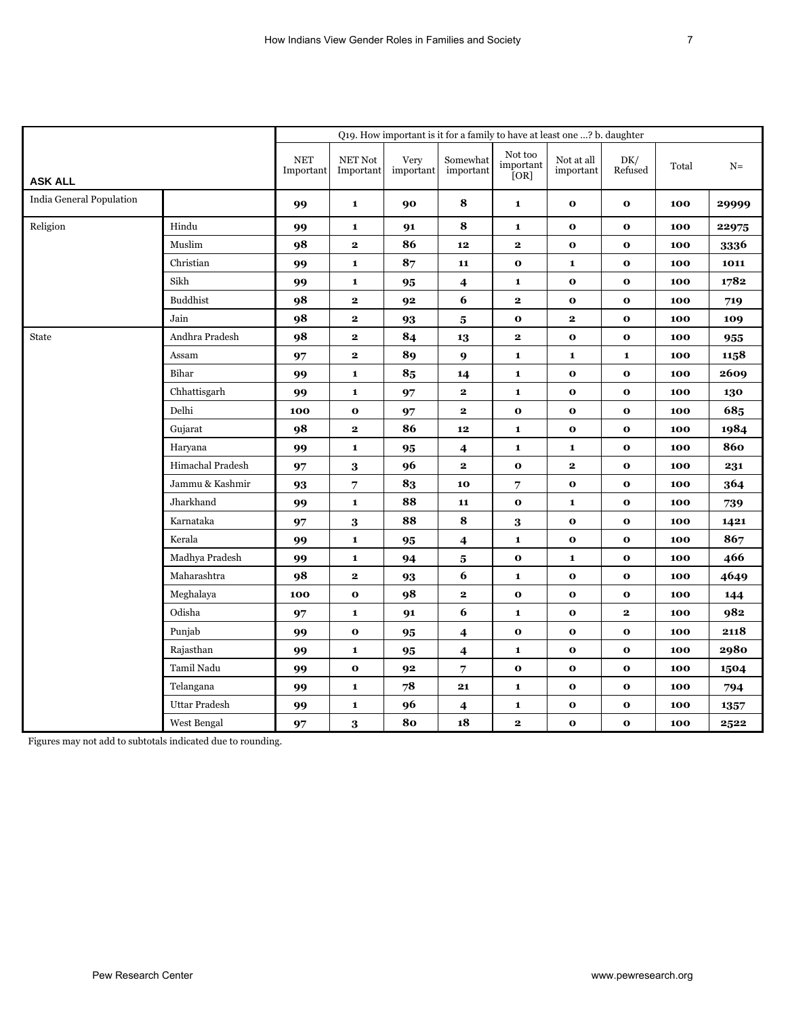|                          |                      |                         |                      |                   | Q19. How important is it for a family to have at least one ? b. daughter |                              |                         |                |       |       |
|--------------------------|----------------------|-------------------------|----------------------|-------------------|--------------------------------------------------------------------------|------------------------------|-------------------------|----------------|-------|-------|
| <b>ASK ALL</b>           |                      | <b>NET</b><br>Important | NET Not<br>Important | Very<br>important | Somewhat<br>important                                                    | Not too<br>important<br>[OR] | Not at all<br>important | DK/<br>Refused | Total | $N=$  |
| India General Population |                      | 99                      | $\mathbf{1}$         | 90                | 8                                                                        | $\mathbf{1}$                 | $\mathbf{o}$            | $\mathbf 0$    | 100   | 29999 |
| Religion                 | Hindu                | 99                      | $\mathbf{1}$         | 91                | 8                                                                        | $\mathbf{1}$                 | $\mathbf 0$             | $\mathbf 0$    | 100   | 22975 |
|                          | Muslim               | 98                      | $\mathbf{2}$         | 86                | 12                                                                       | $\mathbf{2}$                 | $\mathbf 0$             | $\mathbf 0$    | 100   | 3336  |
|                          | Christian            | 99                      | $\mathbf{1}$         | 87                | 11                                                                       | $\mathbf 0$                  | $\mathbf{1}$            | $\mathbf{o}$   | 100   | 1011  |
|                          | Sikh                 | 99                      | $\mathbf{1}$         | 95                | $\overline{\mathbf{4}}$                                                  | $\mathbf{1}$                 | $\mathbf 0$             | $\mathbf 0$    | 100   | 1782  |
|                          | <b>Buddhist</b>      | 98                      | $\mathbf{2}$         | 92                | 6                                                                        | $\mathbf 2$                  | $\mathbf 0$             | $\mathbf 0$    | 100   | 719   |
|                          | Jain                 | 98                      | $\mathbf{2}$         | 93                | $\bf{5}$                                                                 | $\mathbf{o}$                 | $\mathbf{2}$            | $\mathbf 0$    | 100   | 109   |
| <b>State</b>             | Andhra Pradesh       | 98                      | $\mathbf{2}$         | 84                | 13                                                                       | $\mathbf{2}$                 | $\mathbf{o}$            | $\mathbf{o}$   | 100   | 955   |
|                          | Assam                | 97                      | $\mathbf 2$          | 89                | $\boldsymbol{9}$                                                         | 1                            | ${\bf 1}$               | $\mathbf{1}$   | 100   | 1158  |
|                          | Bihar                | 99                      | $\mathbf{1}$         | 85                | 14                                                                       | $\mathbf{1}$                 | $\mathbf 0$             | $\mathbf{o}$   | 100   | 2609  |
|                          | Chhattisgarh         | 99                      | $\mathbf{1}$         | 97                | $\mathbf{2}$                                                             | $\mathbf{1}$                 | $\mathbf 0$             | $\mathbf{o}$   | 100   | 130   |
|                          | Delhi                | 100                     | $\mathbf 0$          | 97                | $\mathbf{2}$                                                             | $\mathbf 0$                  | $\mathbf 0$             | $\mathbf 0$    | 100   | 685   |
|                          | Gujarat              | 98                      | $\mathbf 2$          | 86                | 12                                                                       | $\mathbf{1}$                 | $\mathbf 0$             | $\mathbf 0$    | 100   | 1984  |
|                          | Haryana              | 99                      | $\mathbf{1}$         | 95                | $\overline{\mathbf{4}}$                                                  | $\mathbf{1}$                 | $\mathbf{1}$            | $\mathbf 0$    | 100   | 860   |
|                          | Himachal Pradesh     | 97                      | $\bf{3}$             | 96                | $\mathbf{2}$                                                             | $\mathbf{o}$                 | $\mathbf{2}$            | $\mathbf{o}$   | 100   | 231   |
|                          | Jammu & Kashmir      | 93                      | 7                    | 83                | 10                                                                       | 7                            | $\mathbf{o}$            | $\mathbf 0$    | 100   | 364   |
|                          | Jharkhand            | 99                      | $\mathbf{1}$         | 88                | 11                                                                       | $\mathbf 0$                  | $\mathbf{1}$            | $\mathbf{o}$   | 100   | 739   |
|                          | Karnataka            | 97                      | 3                    | 88                | 8                                                                        | 3                            | $\mathbf{o}$            | $\mathbf{o}$   | 100   | 1421  |
|                          | Kerala               | 99                      | $\mathbf{1}$         | 95                | 4                                                                        | $\mathbf{1}$                 | $\mathbf{o}$            | $\mathbf{o}$   | 100   | 867   |
|                          | Madhya Pradesh       | 99                      | $\mathbf{1}$         | 94                | 5                                                                        | $\mathbf 0$                  | $\mathbf{1}$            | $\mathbf{o}$   | 100   | 466   |
|                          | Maharashtra          | 98                      | $\mathbf 2$          | 93                | 6                                                                        | 1                            | $\mathbf 0$             | $\mathbf{o}$   | 100   | 4649  |
|                          | Meghalaya            | 100                     | $\mathbf{o}$         | 98                | $\mathbf{2}$                                                             | $\mathbf 0$                  | $\mathbf 0$             | $\mathbf 0$    | 100   | 144   |
|                          | Odisha               | 97                      | $\mathbf{1}$         | 91                | 6                                                                        | $\mathbf{1}$                 | $\mathbf{o}$            | $\mathbf{2}$   | 100   | 982   |
|                          | Punjab               | 99                      | $\mathbf{o}$         | 95                | $\overline{\mathbf{4}}$                                                  | $\mathbf 0$                  | $\mathbf{o}$            | $\mathbf{o}$   | 100   | 2118  |
|                          | Rajasthan            | 99                      | $\mathbf{1}$         | 95                | 4                                                                        | $\mathbf{1}$                 | $\mathbf 0$             | $\mathbf 0$    | 100   | 2980  |
|                          | Tamil Nadu           | 99                      | $\mathbf 0$          | 92                | $\overline{7}$                                                           | $\mathbf{o}$                 | $\mathbf{o}$            | $\mathbf 0$    | 100   | 1504  |
|                          | Telangana            | 99                      | $\mathbf{1}$         | 78                | 21                                                                       | $\mathbf{1}$                 | $\mathbf{o}$            | $\mathbf{o}$   | 100   | 794   |
|                          | <b>Uttar Pradesh</b> | 99                      | $\mathbf{1}$         | 96                | 4                                                                        | 1                            | $\mathbf 0$             | $\mathbf 0$    | 100   | 1357  |
|                          | West Bengal          | 97                      | 3                    | 80                | 18                                                                       | 2                            | $\mathbf 0$             | $\bf o$        | 100   | 2522  |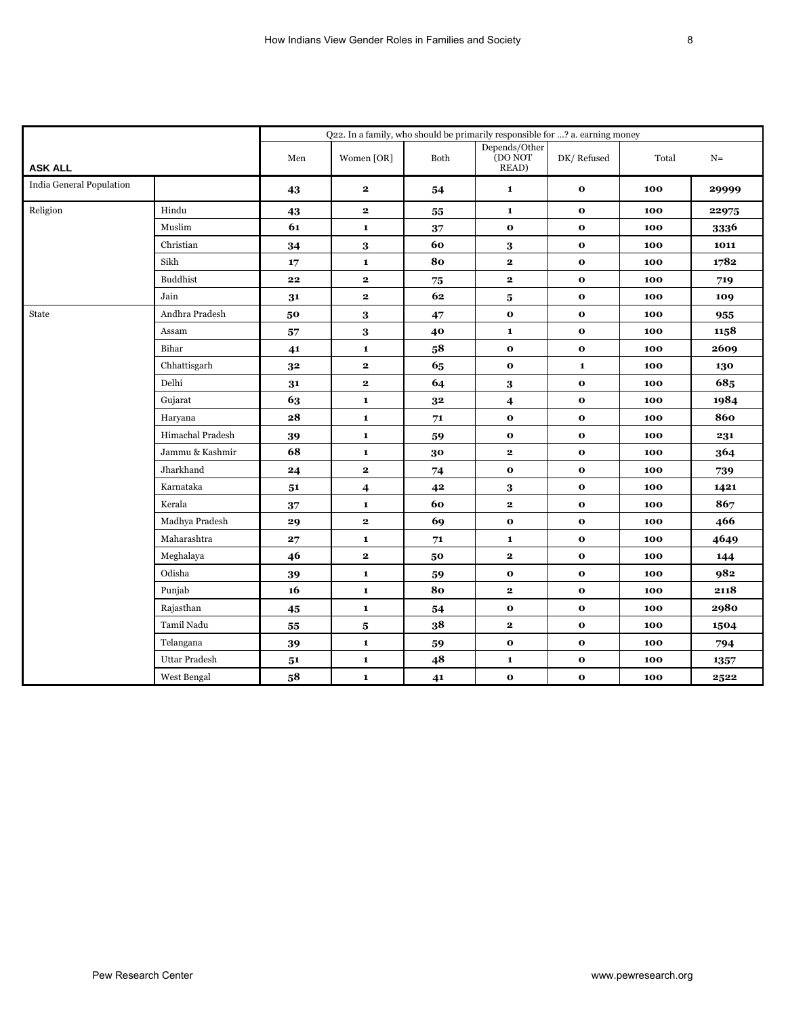|                          |                      | Q22. In a family, who should be primarily responsible for ? a. earning money |              |            |                                   |              |       |       |  |  |  |
|--------------------------|----------------------|------------------------------------------------------------------------------|--------------|------------|-----------------------------------|--------------|-------|-------|--|--|--|
| <b>ASK ALL</b>           |                      | Men                                                                          | Women [OR]   | Both       | Depends/Other<br>(DO NOT<br>READ) | DK/Refused   | Total | $N =$ |  |  |  |
| India General Population |                      | 43                                                                           | $\mathbf 2$  | 54         | $\mathbf{1}$                      | $\mathbf 0$  | 100   | 29999 |  |  |  |
| Religion                 | Hindu                | 43                                                                           | $\mathbf{2}$ | 55         | $\mathbf 1$                       | $\mathbf{o}$ | 100   | 22975 |  |  |  |
|                          | Muslim               | 61                                                                           | $\mathbf{1}$ | 37         | $\mathbf 0$                       | $\mathbf 0$  | 100   | 3336  |  |  |  |
|                          | Christian            | 34                                                                           | 3            | 60         | 3                                 | $\mathbf{o}$ | 100   | 1011  |  |  |  |
|                          | Sikh                 | 17                                                                           | $\mathbf{1}$ | 80         | $\mathbf{2}$                      | $\mathbf{o}$ | 100   | 1782  |  |  |  |
|                          | <b>Buddhist</b>      | 22                                                                           | $\mathbf{2}$ | ${\bf 75}$ | $\mathbf{2}$                      | $\mathbf{o}$ | 100   | 719   |  |  |  |
|                          | Jain                 | 31                                                                           | $\mathbf{2}$ | 62         | 5                                 | $\mathbf{o}$ | 100   | 109   |  |  |  |
| State                    | Andhra Pradesh       | 50                                                                           | 3            | 47         | $\mathbf{o}$                      | $\mathbf 0$  | 100   | 955   |  |  |  |
|                          | Assam                | 57                                                                           | 3            | 40         | $\mathbf 1$                       | $\mathbf{o}$ | 100   | 1158  |  |  |  |
|                          | Bihar                | 41                                                                           | $\mathbf 1$  | 58         | $\mathbf{o}$                      | $\mathbf 0$  | 100   | 2609  |  |  |  |
|                          | Chhattisgarh         | 3 <sup>2</sup>                                                               | $\mathbf{2}$ | 65         | $\mathbf 0$                       | $\mathbf 1$  | 100   | 130   |  |  |  |
|                          | Delhi                | 31                                                                           | $\mathbf{2}$ | 64         | 3                                 | $\mathbf 0$  | 100   | 685   |  |  |  |
|                          | Gujarat              | 63                                                                           | $\mathbf{1}$ | 32         | $\overline{\mathbf{4}}$           | $\mathbf{o}$ | 100   | 1984  |  |  |  |
|                          | Haryana              | ${\bf 28}$                                                                   | $\mathbf 1$  | 71         | $\mathbf 0$                       | $\mathbf{o}$ | 100   | 860   |  |  |  |
|                          | Himachal Pradesh     | 39                                                                           | $\mathbf 1$  | 59         | $\mathbf{o}$                      | $\mathbf{o}$ | 100   | 231   |  |  |  |
|                          | Jammu & Kashmir      | 68                                                                           | 1            | 30         | $\mathbf{2}$                      | $\mathbf 0$  | 100   | 364   |  |  |  |
|                          | Jharkhand            | 24                                                                           | $\mathbf{2}$ | 74         | $\mathbf 0$                       | $\mathbf 0$  | 100   | 739   |  |  |  |
|                          | Karnataka            | 51                                                                           | 4            | 42         | 3                                 | $\mathbf{o}$ | 100   | 1421  |  |  |  |
|                          | Kerala               | 37                                                                           | $\mathbf{1}$ | 60         | $\mathbf{2}$                      | $\mathbf 0$  | 100   | 867   |  |  |  |
|                          | Madhya Pradesh       | 29                                                                           | $\mathbf{2}$ | 69         | $\mathbf{o}$                      | $\mathbf{o}$ | 100   | 466   |  |  |  |
|                          | Maharashtra          | 27                                                                           | $\mathbf 1$  | 71         | $\mathbf 1$                       | $\mathbf{o}$ | 100   | 4649  |  |  |  |
|                          | Meghalaya            | 46                                                                           | $\mathbf{2}$ | 50         | $\mathbf{2}$                      | $\mathbf{o}$ | 100   | 144   |  |  |  |
|                          | Odisha               | 39                                                                           | $\mathbf{1}$ | 59         | $\mathbf 0$                       | $\mathbf 0$  | 100   | 982   |  |  |  |
|                          | Punjab               | 16                                                                           | $\mathbf{1}$ | 80         | $\mathbf{2}$                      | $\mathbf 0$  | 100   | 2118  |  |  |  |
|                          | Rajasthan            | 45                                                                           | $\mathbf{1}$ | 54         | $\mathbf{o}$                      | $\mathbf{o}$ | 100   | 2980  |  |  |  |
|                          | Tamil Nadu           | 55                                                                           | 5            | 38         | $\mathbf{2}$                      | $\mathbf{o}$ | 100   | 1504  |  |  |  |
|                          | Telangana            | 39                                                                           | $\mathbf{1}$ | 59         | $\mathbf{o}$                      | $\mathbf 0$  | 100   | 794   |  |  |  |
|                          | <b>Uttar Pradesh</b> | 51                                                                           | $\mathbf 1$  | 48         | $\mathbf 1$                       | $\mathbf{o}$ | 100   | 1357  |  |  |  |
|                          | West Bengal          | 58                                                                           | $\mathbf 1$  | 41         | $\mathbf{o}$                      | $\mathbf{o}$ | 100   | 2522  |  |  |  |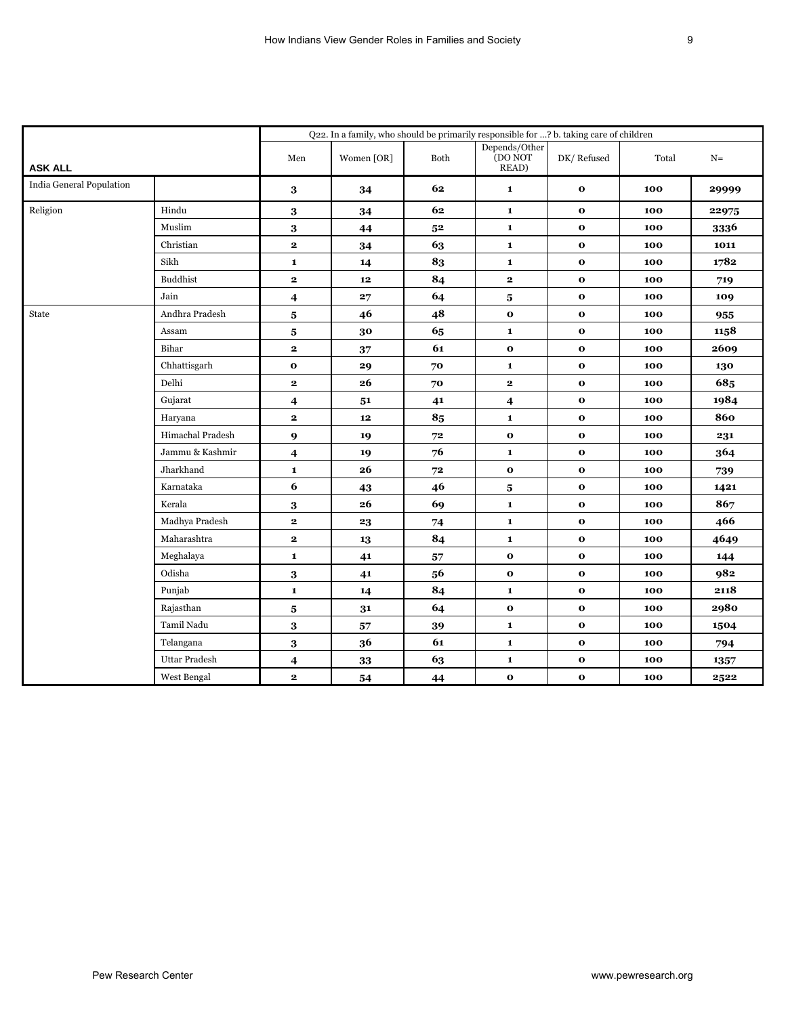|                          |                      |                         | Q22. In a family, who should be primarily responsible for ? b. taking care of children |      |                                   |              |       |       |
|--------------------------|----------------------|-------------------------|----------------------------------------------------------------------------------------|------|-----------------------------------|--------------|-------|-------|
| <b>ASK ALL</b>           |                      | Men                     | Women [OR]                                                                             | Both | Depends/Other<br>(DO NOT<br>READ) | DK/Refused   | Total | $N=$  |
| India General Population |                      | 3                       | 34                                                                                     | 62   | $\mathbf 1$                       | $\mathbf{o}$ | 100   | 29999 |
| Religion                 | Hindu                | 3                       | 34                                                                                     | 62   | $\mathbf 1$                       | $\mathbf{o}$ | 100   | 22975 |
|                          | Muslim               | 3                       | 44                                                                                     | 52   | $\mathbf 1$                       | $\mathbf 0$  | 100   | 3336  |
|                          | Christian            | $\mathbf{2}$            | 34                                                                                     | 63   | $\mathbf{1}$                      | $\mathbf{o}$ | 100   | 1011  |
|                          | Sikh                 | $\mathbf{1}$            | 14                                                                                     | 83   | $\mathbf{1}$                      | $\mathbf{o}$ | 100   | 1782  |
|                          | Buddhist             | $\mathbf{2}$            | ${\bf 12}$                                                                             | 84   | $\mathbf{2}$                      | $\mathbf{o}$ | 100   | 719   |
|                          | Jain                 | $\boldsymbol{4}$        | 27                                                                                     | 64   | $\bf{5}$                          | $\mathbf{o}$ | 100   | 109   |
| State                    | Andhra Pradesh       | 5                       | 46                                                                                     | 48   | $\mathbf{o}$                      | $\mathbf 0$  | 100   | 955   |
|                          | Assam                | 5                       | 30                                                                                     | 65   | $\mathbf{1}$                      | $\mathbf{o}$ | 100   | 1158  |
|                          | Bihar                | $\mathbf{2}$            | 37                                                                                     | 61   | $\mathbf 0$                       | $\mathbf{o}$ | 100   | 2609  |
|                          | Chhattisgarh         | $\mathbf{o}$            | 29                                                                                     | 70   | $\mathbf 1$                       | $\mathbf{o}$ | 100   | 130   |
|                          | Delhi                | $\mathbf{2}$            | 26                                                                                     | 70   | $\mathbf{2}$                      | $\mathbf 0$  | 100   | 685   |
|                          | Gujarat              | 4                       | 51                                                                                     | 41   | 4                                 | $\mathbf{o}$ | 100   | 1984  |
|                          | Haryana              | $\mathbf{2}$            | 12                                                                                     | 85   | $\mathbf 1$                       | $\mathbf{o}$ | 100   | 860   |
|                          | Himachal Pradesh     | $\boldsymbol{9}$        | 19                                                                                     | 72   | $\mathbf 0$                       | $\mathbf{o}$ | 100   | 231   |
|                          | Jammu & Kashmir      | $\boldsymbol{4}$        | 19                                                                                     | 76   | $\mathbf{1}$                      | $\mathbf 0$  | 100   | 364   |
|                          | Jharkhand            | $\mathbf 1$             | 26                                                                                     | 72   | $\mathbf 0$                       | $\mathbf 0$  | 100   | 739   |
|                          | Karnataka            | 6                       | 43                                                                                     | 46   | $\bf{5}$                          | $\mathbf{o}$ | 100   | 1421  |
|                          | Kerala               | $\bf{3}$                | 26                                                                                     | 69   | $\mathbf 1$                       | $\mathbf 0$  | 100   | 867   |
|                          | Madhya Pradesh       | $\mathbf{2}$            | 23                                                                                     | 74   | $\mathbf{1}$                      | $\mathbf{o}$ | 100   | 466   |
|                          | Maharashtra          | $\mathbf{2}$            | 13                                                                                     | 84   | $\mathbf 1$                       | $\mathbf{o}$ | 100   | 4649  |
|                          | Meghalaya            | $\mathbf 1$             | 41                                                                                     | 57   | $\mathbf 0$                       | $\mathbf{o}$ | 100   | 144   |
|                          | Odisha               | 3                       | 41                                                                                     | 56   | $\mathbf 0$                       | $\mathbf 0$  | 100   | 982   |
|                          | Punjab               | $\mathbf{1}$            | 14                                                                                     | 84   | $\mathbf{1}$                      | $\mathbf 0$  | 100   | 2118  |
|                          | Rajasthan            | $\bf{5}$                | 31                                                                                     | 64   | $\mathbf 0$                       | $\mathbf{o}$ | 100   | 2980  |
|                          | Tamil Nadu           | $\bf{3}$                | 57                                                                                     | 39   | $\mathbf 1$                       | $\mathbf{o}$ | 100   | 1504  |
|                          | Telangana            | 3                       | 36                                                                                     | 61   | $\mathbf 1$                       | $\mathbf 0$  | 100   | 794   |
|                          | <b>Uttar Pradesh</b> | $\overline{\mathbf{4}}$ | ${\bf 33}$                                                                             | 63   | $\mathbf 1$                       | $\mathbf{o}$ | 100   | 1357  |
|                          | West Bengal          | $\mathbf{2}$            | 54                                                                                     | 44   | $\mathbf 0$                       | $\mathbf{o}$ | 100   | 2522  |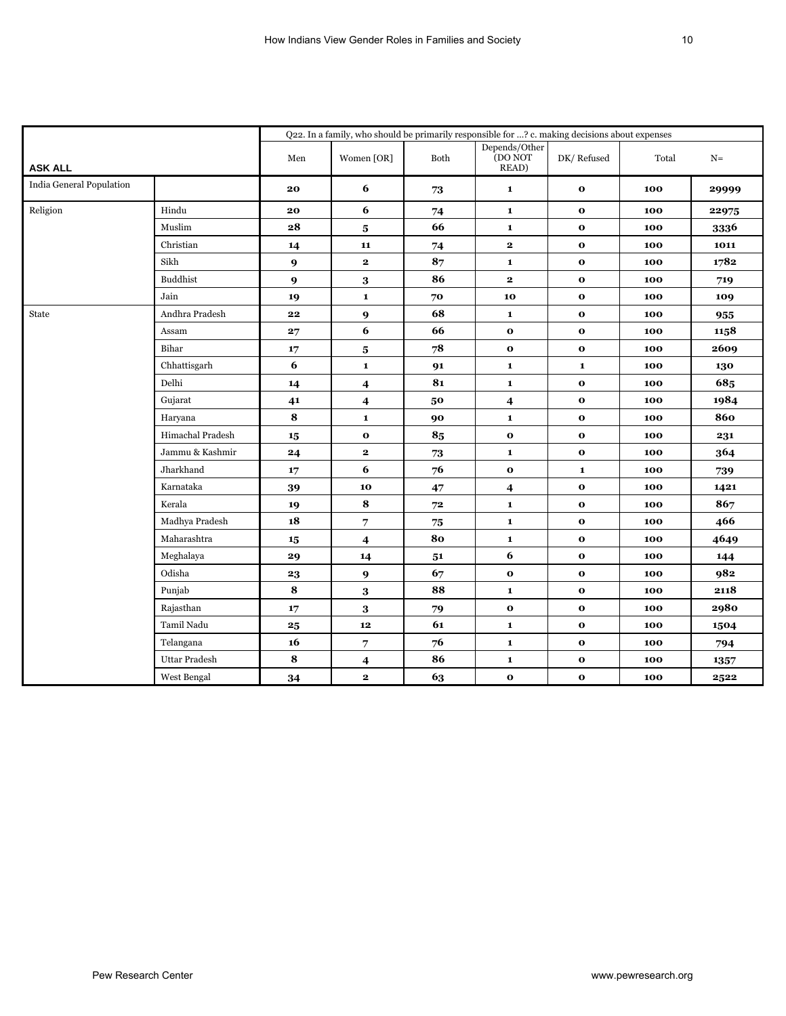|                          |                      |                  | Q22. In a family, who should be primarily responsible for ? c. making decisions about expenses |      |                                                                                      |              |       |       |
|--------------------------|----------------------|------------------|------------------------------------------------------------------------------------------------|------|--------------------------------------------------------------------------------------|--------------|-------|-------|
| <b>ASK ALL</b>           |                      | Men              | Women [OR]                                                                                     | Both | $\begin{array}{c} \text{Depends}/\text{Other}\\ \text{(DO NOT} \end{array}$<br>READ) | DK/Refused   | Total | $N=$  |
| India General Population |                      | 20               | 6                                                                                              | 73   | $\mathbf 1$                                                                          | $\mathbf{o}$ | 100   | 29999 |
| Religion                 | Hindu                | 20               | 6                                                                                              | 74   | $\mathbf 1$                                                                          | $\mathbf{o}$ | 100   | 22975 |
|                          | Muslim               | ${\bf 28}$       | $\bf{5}$                                                                                       | 66   | $\mathbf 1$                                                                          | $\mathbf 0$  | 100   | 3336  |
|                          | Christian            | 14               | 11                                                                                             | 74   | $\mathbf{2}$                                                                         | $\mathbf{o}$ | 100   | 1011  |
|                          | Sikh                 | 9                | $\mathbf{2}$                                                                                   | 87   | $\mathbf{1}$                                                                         | $\mathbf{o}$ | 100   | 1782  |
|                          | Buddhist             | $\boldsymbol{9}$ | 3                                                                                              | 86   | $\mathbf{2}$                                                                         | $\mathbf{o}$ | 100   | 719   |
|                          | Jain                 | 19               | $\mathbf 1$                                                                                    | 70   | 10                                                                                   | $\mathbf{o}$ | 100   | 109   |
| State                    | Andhra Pradesh       | 22               | 9                                                                                              | 68   | $\mathbf{1}$                                                                         | $\mathbf{o}$ | 100   | 955   |
|                          | Assam                | 27               | 6                                                                                              | 66   | $\mathbf 0$                                                                          | $\mathbf{o}$ | 100   | 1158  |
|                          | Bihar                | 17               | $\overline{\mathbf{5}}$                                                                        | 78   | $\mathbf 0$                                                                          | $\mathbf{o}$ | 100   | 2609  |
|                          | Chhattisgarh         | $\boldsymbol{6}$ | $\mathbf 1$                                                                                    | 91   | $\mathbf 1$                                                                          | $\mathbf 1$  | 100   | 130   |
|                          | Delhi                | 14               | $\overline{\mathbf{4}}$                                                                        | 81   | $\mathbf{1}$                                                                         | $\mathbf 0$  | 100   | 685   |
|                          | Gujarat              | 41               | $\overline{\mathbf{4}}$                                                                        | 50   | 4                                                                                    | $\mathbf{o}$ | 100   | 1984  |
|                          | Haryana              | 8                | $\mathbf 1$                                                                                    | 90   | $\mathbf 1$                                                                          | $\mathbf{o}$ | 100   | 860   |
|                          | Himachal Pradesh     | 15               | $\mathbf 0$                                                                                    | 85   | $\mathbf 0$                                                                          | $\mathbf{o}$ | 100   | 231   |
|                          | Jammu & Kashmir      | 24               | $\mathbf{2}$                                                                                   | 73   | $\mathbf{1}$                                                                         | $\mathbf 0$  | 100   | 364   |
|                          | Jharkhand            | 17               | 6                                                                                              | 76   | $\mathbf 0$                                                                          | $\mathbf 1$  | 100   | 739   |
|                          | Karnataka            | 39               | 10                                                                                             | 47   | $\overline{\mathbf{4}}$                                                              | $\mathbf{o}$ | 100   | 1421  |
|                          | Kerala               | 19               | 8                                                                                              | 72   | $\mathbf{1}$                                                                         | $\mathbf 0$  | 100   | 867   |
|                          | Madhya Pradesh       | 18               | 7                                                                                              | 75   | $\mathbf{1}$                                                                         | $\mathbf{o}$ | 100   | 466   |
|                          | Maharashtra          | $15\phantom{.0}$ | $\overline{\mathbf{4}}$                                                                        | 80   | $\mathbf 1$                                                                          | $\mathbf{o}$ | 100   | 4649  |
|                          | Meghalaya            | 29               | 14                                                                                             | 51   | 6                                                                                    | $\mathbf{o}$ | 100   | 144   |
|                          | Odisha               | 23               | 9                                                                                              | 67   | $\mathbf 0$                                                                          | $\mathbf 0$  | 100   | 982   |
|                          | Punjab               | 8                | 3                                                                                              | 88   | $\mathbf{1}$                                                                         | $\mathbf 0$  | 100   | 2118  |
|                          | Rajasthan            | 17               | $\bf{3}$                                                                                       | 79   | $\mathbf 0$                                                                          | $\mathbf{o}$ | 100   | 2980  |
|                          | Tamil Nadu           | $\bf{25}$        | $\boldsymbol{12}$                                                                              | 61   | $\mathbf 1$                                                                          | $\mathbf{o}$ | 100   | 1504  |
|                          | Telangana            | 16               | 7                                                                                              | 76   | $\mathbf 1$                                                                          | $\mathbf 0$  | 100   | 794   |
|                          | <b>Uttar Pradesh</b> | 8                | 4                                                                                              | 86   | $\mathbf 1$                                                                          | $\mathbf{o}$ | 100   | 1357  |
|                          | West Bengal          | 34               | $\mathbf{2}$                                                                                   | 63   | $\mathbf 0$                                                                          | $\mathbf{o}$ | 100   | 2522  |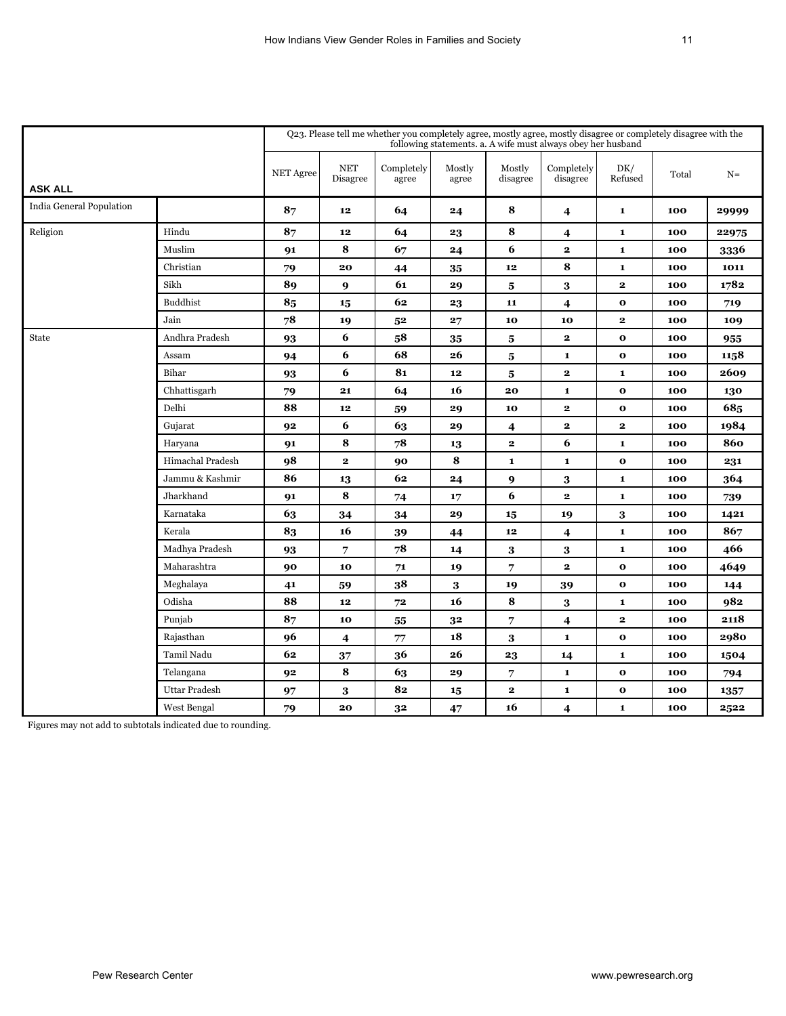|                          |                      |                  |                                  | Q23. Please tell me whether you completely agree, mostly agree, mostly disagree or completely disagree with the |                 |                         | following statements. a. A wife must always obey her husband |                |       |       |
|--------------------------|----------------------|------------------|----------------------------------|-----------------------------------------------------------------------------------------------------------------|-----------------|-------------------------|--------------------------------------------------------------|----------------|-------|-------|
| <b>ASK ALL</b>           |                      | <b>NET Agree</b> | $\operatorname{NET}$<br>Disagree | Completely<br>agree                                                                                             | Mostly<br>agree | Mostly<br>disagree      | Completely<br>disagree                                       | DK/<br>Refused | Total | $N =$ |
| India General Population |                      | 87               | 12                               | 64                                                                                                              | 24              | 8                       | 4                                                            | $\mathbf 1$    | 100   | 29999 |
| Religion                 | Hindu                | 87               | 12                               | 64                                                                                                              | 23              | 8                       | $\boldsymbol{4}$                                             | $\mathbf 1$    | 100   | 22975 |
|                          | Muslim               | 91               | 8                                | 67                                                                                                              | 24              | 6                       | $\mathbf{2}$                                                 | $\mathbf{1}$   | 100   | 3336  |
|                          | Christian            | 79               | 20                               | 44                                                                                                              | 35              | ${\bf 12}$              | 8                                                            | $\mathbf 1$    | 100   | 1011  |
|                          | Sikh                 | 89               | 9                                | 61                                                                                                              | 29              | $\bf{5}$                | 3                                                            | $\bf 2$        | 100   | 1782  |
|                          | <b>Buddhist</b>      | 85               | 15                               | 62                                                                                                              | 23              | 11                      | $\overline{\mathbf{4}}$                                      | $\mathbf 0$    | 100   | 719   |
|                          | Jain                 | 78               | 19                               | 5 <sup>2</sup>                                                                                                  | 27              | 10                      | 10                                                           | $\mathbf{2}$   | 100   | 109   |
| State                    | Andhra Pradesh       | 93               | 6                                | 58                                                                                                              | 35              | $\bf{5}$                | $\mathbf{2}$                                                 | $\mathbf 0$    | 100   | 955   |
|                          | Assam                | 94               | 6                                | 68                                                                                                              | 26              | ${\bf 5}$               | 1                                                            | $\mathbf{o}$   | 100   | 1158  |
|                          | Bihar                | 93               | 6                                | 81                                                                                                              | 12              | 5                       | $\mathbf{2}$                                                 | $\mathbf{1}$   | 100   | 2609  |
|                          | Chhattisgarh         | 79               | 21                               | 64                                                                                                              | 16              | 20                      | $\mathbf{1}$                                                 | $\mathbf 0$    | 100   | 130   |
|                          | Delhi                | 88               | 12                               | 59                                                                                                              | 29              | 10                      | $\mathbf{2}$                                                 | $\mathbf 0$    | 100   | 685   |
|                          | Gujarat              | 92               | 6                                | 63                                                                                                              | 29              | $\overline{\mathbf{4}}$ | 2                                                            | $\mathbf{2}$   | 100   | 1984  |
|                          | Haryana              | 91               | 8                                | 78                                                                                                              | 13              | $\bf 2$                 | 6                                                            | $\mathbf 1$    | 100   | 860   |
|                          | Himachal Pradesh     | 98               | $\mathbf{2}$                     | 90                                                                                                              | 8               | $\mathbf 1$             | $\mathbf{1}$                                                 | $\mathbf{o}$   | 100   | 231   |
|                          | Jammu & Kashmir      | 86               | 13                               | 62                                                                                                              | 24              | $\boldsymbol{9}$        | 3                                                            | $\mathbf 1$    | 100   | 364   |
|                          | Jharkhand            | 91               | 8                                | 74                                                                                                              | 17              | 6                       | $\mathbf{2}$                                                 | $\mathbf 1$    | 100   | 739   |
|                          | Karnataka            | 63               | 34                               | 34                                                                                                              | 29              | 15                      | 19                                                           | 3              | 100   | 1421  |
|                          | Kerala               | 83               | 16                               | 39                                                                                                              | 44              | ${\bf 12}$              | 4                                                            | $\mathbf{1}$   | 100   | 867   |
|                          | Madhya Pradesh       | 93               | 7                                | 78                                                                                                              | 14              | 3                       | 3                                                            | $\mathbf{1}$   | 100   | 466   |
|                          | Maharashtra          | 90               | 10                               | 71                                                                                                              | 19              | 7                       | $\mathbf{2}$                                                 | $\mathbf 0$    | 100   | 4649  |
|                          | Meghalaya            | 41               | 59                               | 38                                                                                                              | 3               | 19                      | 39                                                           | $\mathbf 0$    | 100   | 144   |
|                          | Odisha               | 88               | 12                               | 72                                                                                                              | 16              | ${\bf 8}$               | 3                                                            | $\mathbf 1$    | 100   | 982   |
|                          | Punjab               | 87               | 10                               | 55                                                                                                              | 3 <sup>2</sup>  | $\overline{7}$          | $\overline{\mathbf{4}}$                                      | $\mathbf{2}$   | 100   | 2118  |
|                          | Rajasthan            | 96               | 4                                | 77                                                                                                              | 18              | $\bf 3$                 | $\mathbf{1}$                                                 | $\mathbf{o}$   | 100   | 2980  |
|                          | Tamil Nadu           | 62               | 37                               | 36                                                                                                              | 26              | 23                      | 14                                                           | $\mathbf 1$    | 100   | 1504  |
|                          | Telangana            | 92               | 8                                | 63                                                                                                              | 29              | $\overline{7}$          | $\mathbf 1$                                                  | $\mathbf 0$    | 100   | 794   |
|                          | <b>Uttar Pradesh</b> | 97               | 3                                | 82                                                                                                              | 15              | $\bf 2$                 | $\mathbf 1$                                                  | $\mathbf{o}$   | 100   | 1357  |
|                          | West Bengal          | 79               | 20                               | 32                                                                                                              | 47              | 16                      | $\overline{\mathbf{4}}$                                      | $\mathbf{1}$   | 100   | 2522  |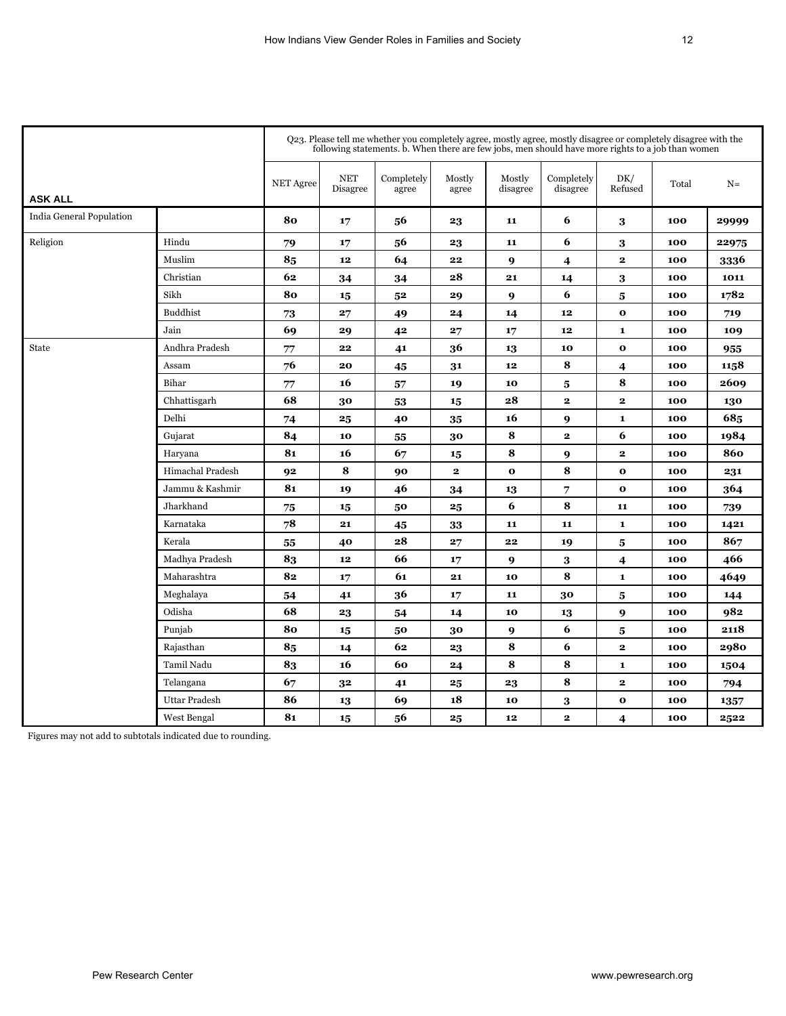|                          |                      | Q23. Please tell me whether you completely agree, mostly agree, mostly disagree or completely disagree with the<br>following statements. b. When there are few jobs, men should have more rights to a job than women |                        |                     |                 |                    |                        |                         |       |       |  |
|--------------------------|----------------------|----------------------------------------------------------------------------------------------------------------------------------------------------------------------------------------------------------------------|------------------------|---------------------|-----------------|--------------------|------------------------|-------------------------|-------|-------|--|
| <b>ASK ALL</b>           |                      | <b>NET Agree</b>                                                                                                                                                                                                     | <b>NET</b><br>Disagree | Completely<br>agree | Mostly<br>agree | Mostly<br>disagree | Completely<br>disagree | DK/<br>Refused          | Total | $N =$ |  |
| India General Population |                      | 80                                                                                                                                                                                                                   | 17                     | 56                  | 23              | 11                 | 6                      | 3                       | 100   | 29999 |  |
| Religion                 | Hindu                | 79                                                                                                                                                                                                                   | 17                     | 56                  | 23              | 11                 | 6                      | 3                       | 100   | 22975 |  |
|                          | Muslim               | 85                                                                                                                                                                                                                   | 12                     | 64                  | 22              | 9                  | $\boldsymbol{4}$       | $\mathbf{2}$            | 100   | 3336  |  |
|                          | Christian            | 62                                                                                                                                                                                                                   | 34                     | 34                  | 28              | 21                 | 14                     | 3                       | 100   | 1011  |  |
|                          | Sikh                 | 80                                                                                                                                                                                                                   | 15                     | 52                  | 29              | $\boldsymbol{Q}$   | 6                      | 5                       | 100   | 1782  |  |
|                          | <b>Buddhist</b>      | 73                                                                                                                                                                                                                   | 27                     | 49                  | 24              | 14                 | 12                     | $\mathbf{o}$            | 100   | 719   |  |
|                          | Jain                 | 69                                                                                                                                                                                                                   | 29                     | 42                  | 27              | 17                 | $12\phantom{.0}$       | $\mathbf 1$             | 100   | 109   |  |
| State                    | Andhra Pradesh       | $77$                                                                                                                                                                                                                 | 22                     | 41                  | 36              | 13                 | 10                     | $\mathbf 0$             | 100   | 955   |  |
|                          | Assam                | 76                                                                                                                                                                                                                   | 20                     | 45                  | 31              | 12                 | 8                      | $\overline{\mathbf{4}}$ | 100   | 1158  |  |
|                          | Bihar                | 77                                                                                                                                                                                                                   | 16                     | 57                  | 19              | 10                 | 5                      | 8                       | 100   | 2609  |  |
|                          | Chhattisgarh         | 68                                                                                                                                                                                                                   | 30                     | 53                  | 15              | 28                 | $\mathbf{2}$           | $\mathbf{2}$            | 100   | 130   |  |
|                          | Delhi                | 74                                                                                                                                                                                                                   | 25                     | 40                  | 35              | 16                 | 9                      | $\mathbf{1}$            | 100   | 685   |  |
|                          | Gujarat              | 84                                                                                                                                                                                                                   | 10                     | 55                  | 30              | 8                  | $\mathbf{2}$           | 6                       | 100   | 1984  |  |
|                          | Haryana              | 81                                                                                                                                                                                                                   | 16                     | 67                  | 15              | 8                  | 9                      | $\bf 2$                 | 100   | 860   |  |
|                          | Himachal Pradesh     | 92                                                                                                                                                                                                                   | 8                      | 90                  | $\overline{2}$  | $\mathbf{o}$       | 8                      | $\mathbf{o}$            | 100   | 231   |  |
|                          | Jammu & Kashmir      | 81                                                                                                                                                                                                                   | 19                     | 46                  | 34              | 13                 | 7                      | $\mathbf{o}$            | 100   | 364   |  |
|                          | Jharkhand            | 75                                                                                                                                                                                                                   | 15                     | 50                  | 25              | 6                  | 8                      | 11                      | 100   | 739   |  |
|                          | Karnataka            | 78                                                                                                                                                                                                                   | 21                     | 45                  | 33              | 11                 | 11                     | 1                       | 100   | 1421  |  |
|                          | Kerala               | 55                                                                                                                                                                                                                   | 40                     | 28                  | 27              | 22                 | 19                     | 5                       | 100   | 867   |  |
|                          | Madhya Pradesh       | 83                                                                                                                                                                                                                   | 12                     | 66                  | 17              | 9                  | 3                      | $\overline{\mathbf{4}}$ | 100   | 466   |  |
|                          | Maharashtra          | 82                                                                                                                                                                                                                   | 17                     | 61                  | 21              | 10                 | 8                      | $\bf 1$                 | 100   | 4649  |  |
|                          | Meghalaya            | 54                                                                                                                                                                                                                   | 41                     | 36                  | 17              | 11                 | 30                     | $\bf{5}$                | 100   | 144   |  |
|                          | Odisha               | 68                                                                                                                                                                                                                   | 23                     | 54                  | 14              | 10                 | 13                     | 9                       | 100   | 982   |  |
|                          | Punjab               | 80                                                                                                                                                                                                                   | 15                     | 50                  | 30              | 9                  | 6                      | $\overline{\mathbf{5}}$ | 100   | 2118  |  |
|                          | Rajasthan            | 85                                                                                                                                                                                                                   | 14                     | 62                  | 23              | 8                  | 6                      | $\mathbf{2}$            | 100   | 2980  |  |
|                          | Tamil Nadu           | 83                                                                                                                                                                                                                   | 16                     | 60                  | 24              | 8                  | 8                      | $\bf 1$                 | 100   | 1504  |  |
|                          | Telangana            | 67                                                                                                                                                                                                                   | 32                     | 41                  | 25              | 23                 | 8                      | $\bf 2$                 | 100   | 794   |  |
|                          | <b>Uttar Pradesh</b> | 86                                                                                                                                                                                                                   | 13                     | 69                  | 18              | 10                 | 3                      | $\mathbf{o}$            | 100   | 1357  |  |
|                          | West Bengal          | 81                                                                                                                                                                                                                   | 15                     | 56                  | 25              | 12                 | $\mathbf{2}$           | $\overline{4}$          | 100   | 2522  |  |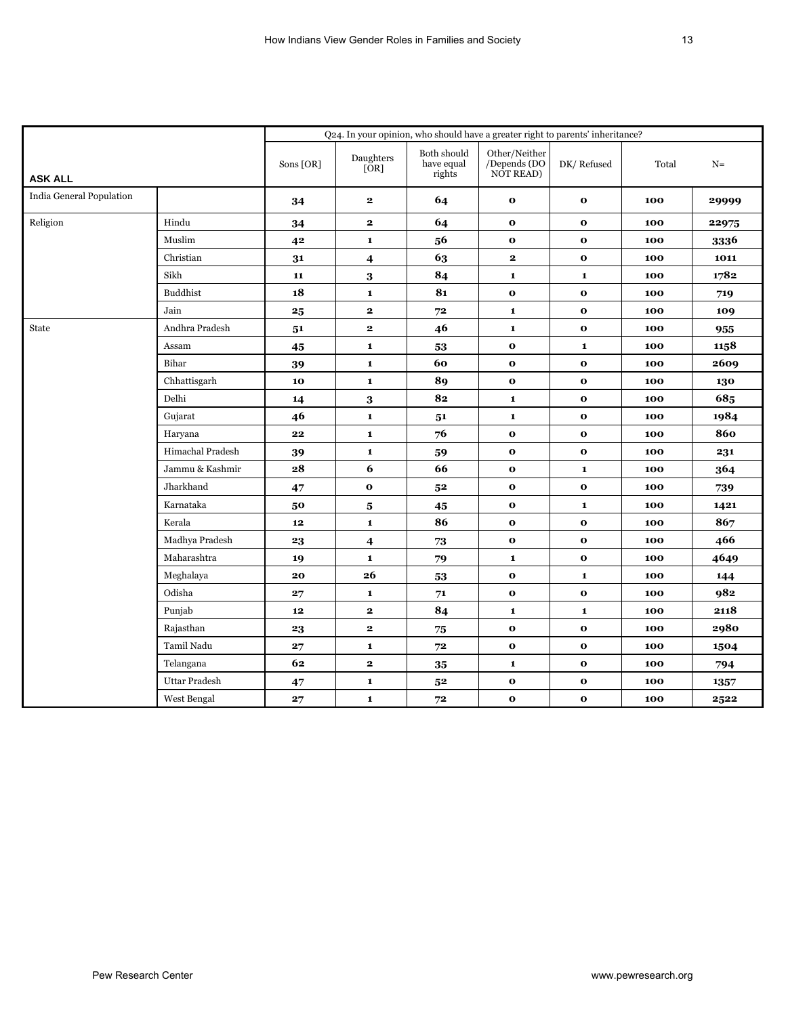|                          | Q24. In your opinion, who should have a greater right to parents' inheritance? |            |                         |                                     |                                            |              |       |       |
|--------------------------|--------------------------------------------------------------------------------|------------|-------------------------|-------------------------------------|--------------------------------------------|--------------|-------|-------|
| <b>ASK ALL</b>           |                                                                                | Sons [OR]  | Daughters<br>[OR]       | Both should<br>have equal<br>rights | Other/Neither<br>/Depends (DO<br>NOT READ) | DK/Refused   | Total | $N=$  |
| India General Population |                                                                                | 34         | $\mathbf{2}$            | 64                                  | $\mathbf{o}$                               | $\mathbf{o}$ | 100   | 29999 |
| Religion                 | Hindu                                                                          | 34         | $\mathbf{2}$            | 64                                  | $\mathbf{o}$                               | $\mathbf{o}$ | 100   | 22975 |
|                          | Muslim                                                                         | 42         | $\mathbf{1}$            | 56                                  | $\mathbf{o}$                               | $\mathbf{o}$ | 100   | 3336  |
|                          | Christian                                                                      | 31         | $\overline{4}$          | 63                                  | $\mathbf{2}$                               | $\mathbf{o}$ | 100   | 1011  |
|                          | Sikh                                                                           | 11         | 3                       | 84                                  | $\mathbf 1$                                | $\mathbf{1}$ | 100   | 1782  |
|                          | <b>Buddhist</b>                                                                | 18         | $\mathbf 1$             | 81                                  | $\mathbf{o}$                               | $\mathbf 0$  | 100   | 719   |
|                          | Jain                                                                           | 25         | $\mathbf{2}$            | 72                                  | $\mathbf 1$                                | $\mathbf{o}$ | 100   | 109   |
| State                    | Andhra Pradesh                                                                 | 51         | $\mathbf{2}$            | 46                                  | $\mathbf 1$                                | $\mathbf 0$  | 100   | 955   |
|                          | Assam                                                                          | 45         | $\mathbf{1}$            | 53                                  | $\mathbf{o}$                               | $\mathbf 1$  | 100   | 1158  |
|                          | Bihar                                                                          | 39         | $\mathbf 1$             | 60                                  | $\mathbf{o}$                               | $\mathbf{o}$ | 100   | 2609  |
|                          | Chhattisgarh                                                                   | 10         | $\mathbf{1}$            | 89                                  | $\mathbf{o}$                               | $\mathbf{o}$ | 100   | 130   |
|                          | Delhi                                                                          | 14         | 3                       | 82                                  | $\mathbf 1$                                | $\mathbf{o}$ | 100   | 685   |
|                          | Gujarat                                                                        | 46         | $\mathbf{1}$            | 51                                  | $\mathbf 1$                                | $\mathbf 0$  | 100   | 1984  |
|                          | Haryana                                                                        | 22         | $\mathbf{1}$            | 76                                  | $\mathbf 0$                                | $\mathbf 0$  | 100   | 860   |
|                          | Himachal Pradesh                                                               | 39         | $\mathbf{1}$            | 59                                  | $\mathbf{o}$                               | $\mathbf{o}$ | 100   | 231   |
|                          | Jammu & Kashmir                                                                | 28         | 6                       | 66                                  | $\mathbf{o}$                               | $\mathbf{1}$ | 100   | 364   |
|                          | Jharkhand                                                                      | $\bf 47$   | $\mathbf{o}$            | ${\bf 52}$                          | $\mathbf 0$                                | $\mathbf{o}$ | 100   | 739   |
|                          | Karnataka                                                                      | 50         | $\bf{5}$                | 45                                  | $\mathbf 0$                                | $\mathbf 1$  | 100   | 1421  |
|                          | Kerala                                                                         | 12         | $\mathbf{1}$            | 86                                  | $\mathbf 0$                                | $\mathbf 0$  | 100   | 867   |
|                          | Madhya Pradesh                                                                 | 23         | $\overline{\mathbf{4}}$ | 73                                  | $\mathbf{o}$                               | $\mathbf{o}$ | 100   | 466   |
|                          | Maharashtra                                                                    | 19         | $\mathbf{1}$            | 79                                  | $\mathbf 1$                                | $\mathbf{o}$ | 100   | 4649  |
|                          | Meghalaya                                                                      | 20         | 26                      | 53                                  | $\mathbf{o}$                               | $\mathbf{1}$ | 100   | 144   |
|                          | Odisha                                                                         | 27         | $\mathbf{1}$            | 71                                  | $\mathbf 0$                                | $\mathbf 0$  | 100   | 982   |
|                          | Punjab                                                                         | ${\bf 12}$ | $\mathbf{2}$            | 84                                  | $\mathbf 1$                                | $\mathbf 1$  | 100   | 2118  |
|                          | Rajasthan                                                                      | 23         | $\mathbf{2}$            | 75                                  | $\mathbf 0$                                | $\mathbf{o}$ | 100   | 2980  |
|                          | Tamil Nadu                                                                     | 27         | $\mathbf{1}$            | 72                                  | $\mathbf 0$                                | $\mathbf 0$  | 100   | 1504  |
|                          | Telangana                                                                      | 62         | $\mathbf{2}$            | 35                                  | $\mathbf 1$                                | $\mathbf{o}$ | 100   | 794   |
|                          | Uttar Pradesh                                                                  | 47         | $\mathbf 1$             | 5 <sup>2</sup>                      | $\mathbf{o}$                               | $\mathbf{o}$ | 100   | 1357  |
|                          | West Bengal                                                                    | 27         | $\mathbf{1}$            | 72                                  | $\mathbf{o}$                               | $\mathbf{o}$ | 100   | 2522  |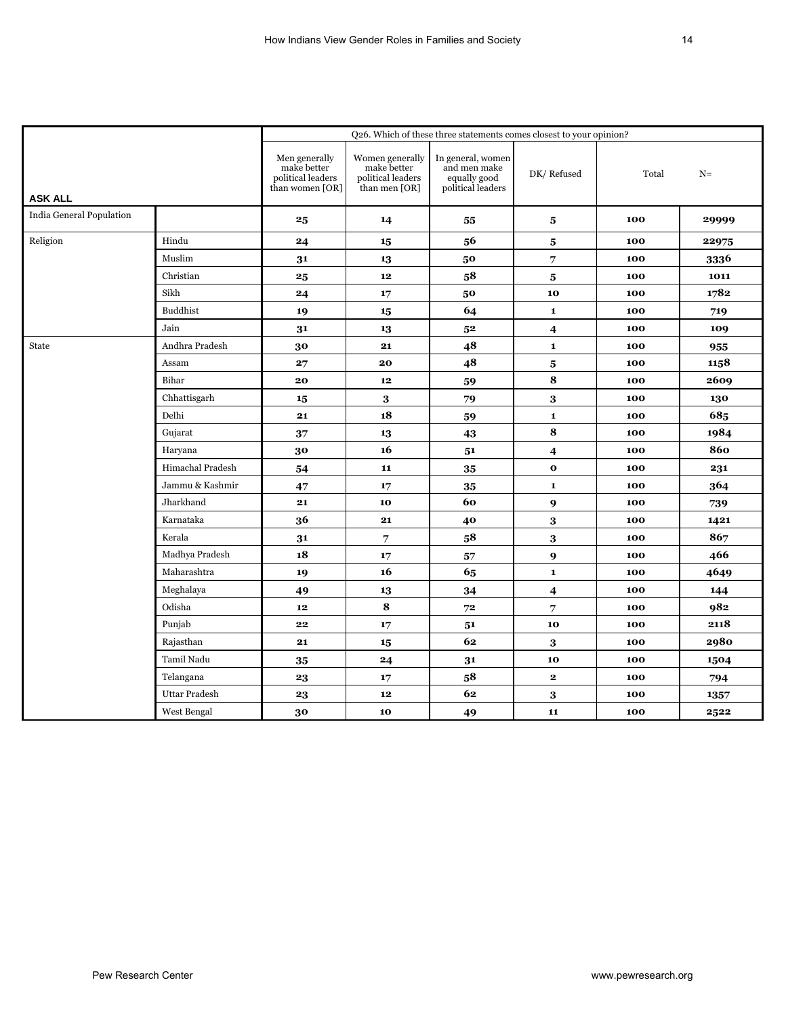|                                 | Q26. Which of these three statements comes closest to your opinion? |                                                                      |                                                                                                                   |                                                                        |                  |       |       |  |
|---------------------------------|---------------------------------------------------------------------|----------------------------------------------------------------------|-------------------------------------------------------------------------------------------------------------------|------------------------------------------------------------------------|------------------|-------|-------|--|
| <b>ASK ALL</b>                  |                                                                     | Men generally<br>make better<br>political leaders<br>than women [OR] | $\begin{array}{c} \text{Women generally} \\ \text{make better} \end{array}$<br>political leaders<br>than men [OR] | In general, women<br>and men make<br>equally good<br>political leaders | DK/Refused       | Total | $N=$  |  |
| <b>India General Population</b> |                                                                     | 25                                                                   | 14                                                                                                                | 55                                                                     | 5                | 100   | 29999 |  |
| Religion                        | Hindu                                                               | 24                                                                   | 15                                                                                                                | 56                                                                     | 5                | 100   | 22975 |  |
|                                 | Muslim                                                              | 31                                                                   | 13                                                                                                                | 50                                                                     | $\overline{7}$   | 100   | 3336  |  |
|                                 | Christian                                                           | $\boldsymbol{25}$                                                    | 12                                                                                                                | 58                                                                     | 5                | 100   | 1011  |  |
|                                 | Sikh                                                                | 24                                                                   | 17                                                                                                                | 50                                                                     | 10               | 100   | 1782  |  |
|                                 | <b>Buddhist</b>                                                     | 19                                                                   | 15                                                                                                                | 64                                                                     | $\mathbf 1$      | 100   | 719   |  |
|                                 | Jain                                                                | 31                                                                   | 13                                                                                                                | 5 <sup>2</sup>                                                         | $\boldsymbol{4}$ | 100   | 109   |  |
| State                           | Andhra Pradesh                                                      | 30                                                                   | 21                                                                                                                | 48                                                                     | $\mathbf 1$      | 100   | 955   |  |
|                                 | Assam                                                               | 27                                                                   | 20                                                                                                                | 48                                                                     | 5                | 100   | 1158  |  |
|                                 | Bihar                                                               | 20                                                                   | 12                                                                                                                | 59                                                                     | 8                | 100   | 2609  |  |
|                                 | Chhattisgarh                                                        | 15                                                                   | $\bf 3$                                                                                                           | 79                                                                     | $\bf{3}$         | 100   | 130   |  |
|                                 | Delhi                                                               | 21                                                                   | 18                                                                                                                | 59                                                                     | $\mathbf 1$      | 100   | 685   |  |
|                                 | Gujarat                                                             | 37                                                                   | 13                                                                                                                | 43                                                                     | 8                | 100   | 1984  |  |
|                                 | Haryana                                                             | 30                                                                   | 16                                                                                                                | 51                                                                     | 4                | 100   | 860   |  |
|                                 | Himachal Pradesh                                                    | 54                                                                   | 11                                                                                                                | 35                                                                     | $\mathbf{o}$     | 100   | 231   |  |
|                                 | Jammu & Kashmir                                                     | 47                                                                   | 17                                                                                                                | 35                                                                     | $\mathbf{1}$     | 100   | 364   |  |
|                                 | Jharkhand                                                           | 21                                                                   | 10                                                                                                                | 60                                                                     | 9                | 100   | 739   |  |
|                                 | Karnataka                                                           | 36                                                                   | 21                                                                                                                | 40                                                                     | $\bf{3}$         | 100   | 1421  |  |
|                                 | Kerala                                                              | 31                                                                   | 7                                                                                                                 | 58                                                                     | 3                | 100   | 867   |  |
|                                 | Madhya Pradesh                                                      | 18                                                                   | 17                                                                                                                | 57                                                                     | $\boldsymbol{9}$ | 100   | 466   |  |
|                                 | Maharashtra                                                         | 19                                                                   | 16                                                                                                                | 65                                                                     | $\mathbf 1$      | 100   | 4649  |  |
|                                 | Meghalaya                                                           | 49                                                                   | 13                                                                                                                | 34                                                                     | $\boldsymbol{4}$ | 100   | 144   |  |
|                                 | Odisha                                                              | 12                                                                   | ${\bf 8}$                                                                                                         | 72                                                                     | $\overline{7}$   | 100   | 982   |  |
|                                 | Punjab                                                              | 22                                                                   | 17                                                                                                                | 51                                                                     | 10               | 100   | 2118  |  |
|                                 | Rajasthan                                                           | 21                                                                   | 15                                                                                                                | 62                                                                     | 3                | 100   | 2980  |  |
|                                 | Tamil Nadu                                                          | 35                                                                   | 24                                                                                                                | 31                                                                     | 10               | 100   | 1504  |  |
|                                 | Telangana                                                           | 23                                                                   | 17                                                                                                                | 58                                                                     | $\mathbf{2}$     | 100   | 794   |  |
|                                 | Uttar Pradesh                                                       | 23                                                                   | 12                                                                                                                | 62                                                                     | 3                | 100   | 1357  |  |
|                                 | West Bengal                                                         | 30                                                                   | 10                                                                                                                | 49                                                                     | 11               | 100   | 2522  |  |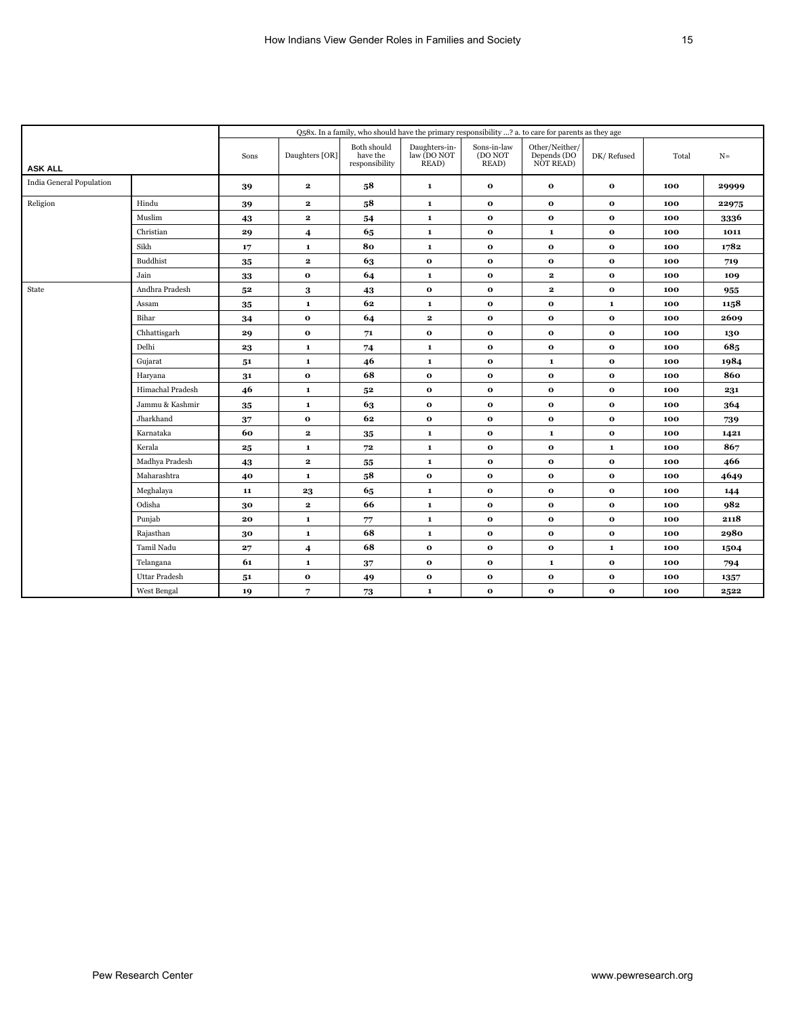|                          |                      | Q58x. In a family, who should have the primary responsibility ? a. to care for parents as they age |                         |                                           |                                                            |                                 |                                            |              |       |       |
|--------------------------|----------------------|----------------------------------------------------------------------------------------------------|-------------------------|-------------------------------------------|------------------------------------------------------------|---------------------------------|--------------------------------------------|--------------|-------|-------|
| <b>ASK ALL</b>           |                      | Sons                                                                                               | Daughters [OR]          | Both should<br>have the<br>responsibility | Daughters-in-<br>law (DO NOT<br>$\overline{\text{READ}}$ ) | Sons-in-law<br>(DO NOT<br>READ) | Other/Neither/<br>Depends (DO<br>NOT READ) | DK/Refused   | Total | $N=$  |
| India General Population |                      | 39                                                                                                 | $\mathbf{2}$            | 58                                        | $\mathbf 1$                                                | $\bf o$                         | $\mathbf{o}$                               | $\mathbf 0$  | 100   | 29999 |
| Religion                 | Hindu                | 39                                                                                                 | $\mathbf{2}$            | 58                                        | $\mathbf{1}$                                               | $\mathbf{o}$                    | $\mathbf{o}$                               | $\mathbf 0$  | 100   | 22975 |
|                          | Muslim               | 43                                                                                                 | $\mathbf{2}$            | 54                                        | $\mathbf 1$                                                | $\mathbf{o}$                    | $\mathbf{o}$                               | $\mathbf{o}$ | 100   | 3336  |
|                          | Christian            | 29                                                                                                 | 4                       | 65                                        | $\mathbf 1$                                                | $\mathbf{o}$                    | $\mathbf 1$                                | $\mathbf{o}$ | 100   | 1011  |
|                          | Sikh                 | 17                                                                                                 | $\mathbf 1$             | 80                                        | $\mathbf 1$                                                | $\mathbf{o}$                    | $\mathbf{o}$                               | $\mathbf{o}$ | 100   | 1782  |
|                          | <b>Buddhist</b>      | 35                                                                                                 | $\mathbf{2}$            | 63                                        | $\mathbf{o}$                                               | $\mathbf{o}$                    | $\mathbf{o}$                               | $\mathbf 0$  | 100   | 719   |
|                          | Jain                 | 33                                                                                                 | $\mathbf{o}$            | 64                                        | $\mathbf 1$                                                | $\mathbf{o}$                    | $\mathbf{2}$                               | $\mathbf{o}$ | 100   | 109   |
| State                    | Andhra Pradesh       | 5 <sup>2</sup>                                                                                     | 3                       | 43                                        | $\mathbf 0$                                                | $\mathbf 0$                     | $\mathbf{2}$                               | $\mathbf{o}$ | 100   | 955   |
|                          | Assam                | 35                                                                                                 | $\mathbf 1$             | 62                                        | $\mathbf 1$                                                | $\mathbf{o}$                    | $\mathbf{o}$                               | $\mathbf 1$  | 100   | 1158  |
|                          | Bihar                | 34                                                                                                 | $\mathbf{o}$            | 64                                        | $\mathbf{2}$                                               | $\mathbf{o}$                    | $\mathbf{o}$                               | $\mathbf 0$  | 100   | 2609  |
|                          | Chhattisgarh         | 29                                                                                                 | $\mathbf{o}$            | 71                                        | $\mathbf{o}$                                               | $\bf o$                         | $\mathbf{o}$                               | $\mathbf 0$  | 100   | 130   |
|                          | Delhi                | 23                                                                                                 | $\mathbf 1$             | 74                                        | $\mathbf 1$                                                | $\mathbf{o}$                    | $\mathbf{o}$                               | $\mathbf{o}$ | 100   | 685   |
|                          | Gujarat              | 51                                                                                                 | $\mathbf 1$             | 46                                        | $\mathbf{1}$                                               | $\mathbf{o}$                    | $\mathbf{1}$                               | $\mathbf{o}$ | 100   | 1984  |
|                          | Haryana              | 31                                                                                                 | $\mathbf{o}$            | 68                                        | $\mathbf{o}$                                               | $\mathbf{o}$                    | $\mathbf{o}$                               | $\mathbf 0$  | 100   | 860   |
|                          | Himachal Pradesh     | 46                                                                                                 | $\mathbf 1$             | 5 <sup>2</sup>                            | $\mathbf{o}$                                               | $\mathbf{o}$                    | $\mathbf{o}$                               | $\mathbf{o}$ | 100   | 231   |
|                          | Jammu & Kashmir      | 35                                                                                                 | $\mathbf 1$             | 63                                        | $\mathbf{o}$                                               | $\mathbf{o}$                    | $\mathbf{o}$                               | $\mathbf{o}$ | 100   | 364   |
|                          | Jharkhand            | $\bf 37$                                                                                           | $\mathbf{o}$            | 62                                        | $\mathbf{o}$                                               | $\mathbf 0$                     | $\mathbf{o}$                               | $\mathbf{o}$ | 100   | 739   |
|                          | Karnataka            | 60                                                                                                 | $\mathbf{2}$            | 35                                        | $\mathbf 1$                                                | $\mathbf 0$                     | $\mathbf 1$                                | $\mathbf 0$  | 100   | 1421  |
|                          | Kerala               | $25\,$                                                                                             | $\mathbf{1}$            | 72                                        | $\mathbf 1$                                                | $\bf o$                         | $\mathbf{o}$                               | $\mathbf 1$  | 100   | 867   |
|                          | Madhya Pradesh       | 43                                                                                                 | $\mathbf{2}$            | 55                                        | $\mathbf{1}$                                               | $\bf o$                         | $\mathbf{o}$                               | $\mathbf 0$  | 100   | 466   |
|                          | Maharashtra          | 40                                                                                                 | $\mathbf{1}$            | 58                                        | $\mathbf 0$                                                | $\mathbf 0$                     | $\mathbf{o}$                               | $\mathbf 0$  | 100   | 4649  |
|                          | Meghalaya            | 11                                                                                                 | 23                      | 65                                        | $\mathbf 1$                                                | $\mathbf 0$                     | $\mathbf{o}$                               | $\mathbf 0$  | 100   | 144   |
|                          | Odisha               | 30                                                                                                 | $\mathbf{2}$            | 66                                        | $\mathbf 1$                                                | $\mathbf 0$                     | $\mathbf{o}$                               | $\mathbf 0$  | 100   | 982   |
|                          | Punjab               | 20                                                                                                 | ${\bf 1}$               | 77                                        | $\mathbf 1$                                                | $\mathbf 0$                     | $\mathbf{o}$                               | $\mathbf 0$  | 100   | 2118  |
|                          | Rajasthan            | 30                                                                                                 | $\mathbf 1$             | 68                                        | $\mathbf 1$                                                | $\mathbf{o}$                    | $\mathbf{o}$                               | $\mathbf{o}$ | 100   | 2980  |
|                          | Tamil Nadu           | 27                                                                                                 | $\overline{\mathbf{4}}$ | 68                                        | $\mathbf{o}$                                               | $\mathbf 0$                     | $\mathbf{o}$                               | $\mathbf 1$  | 100   | 1504  |
|                          | Telangana            | 61                                                                                                 | $\mathbf{1}$            | 37                                        | $\mathbf 0$                                                | $\mathbf{o}$                    | $\mathbf{1}$                               | $\mathbf{o}$ | 100   | 794   |
|                          | <b>Uttar Pradesh</b> | 51                                                                                                 | $\mathbf{o}$            | 49                                        | $\mathbf{o}$                                               | $\mathbf{o}$                    | $\mathbf{o}$                               | $\mathbf{o}$ | 100   | 1357  |
|                          | West Bengal          | 19                                                                                                 | 7                       | 73                                        | $\mathbf{1}$                                               | $\mathbf{o}$                    | $\mathbf{o}$                               | $\mathbf{o}$ | 100   | 2522  |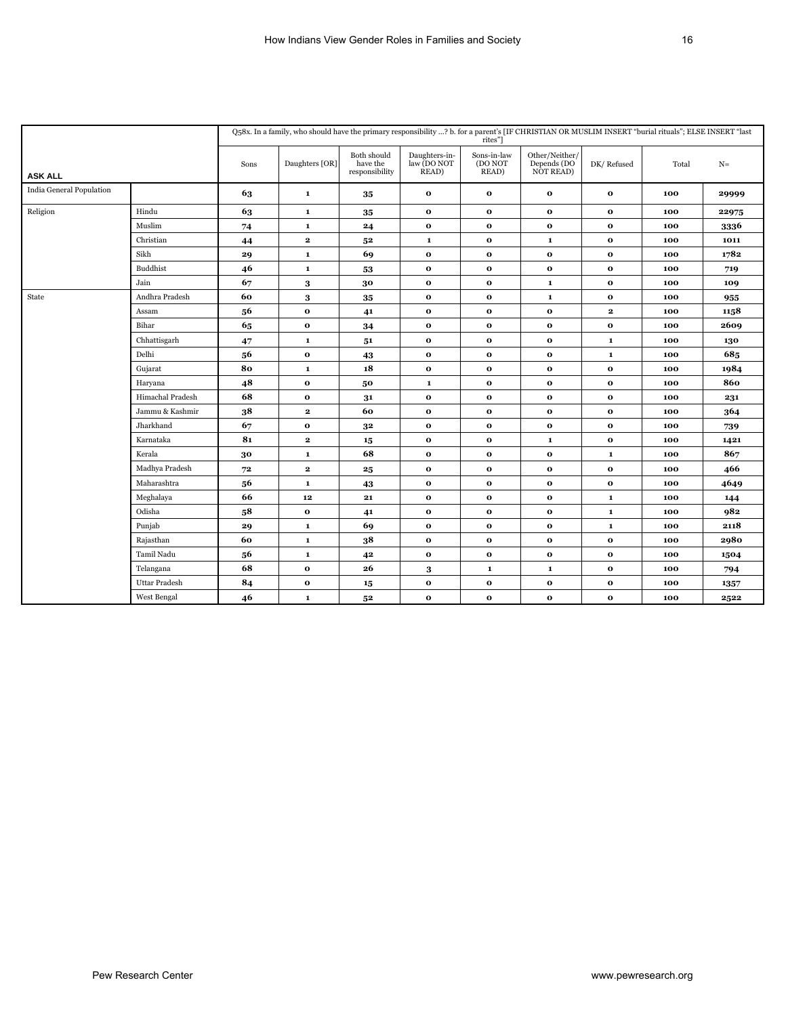|                          |                      | Q58x. In a family, who should have the primary responsibility ? b. for a parent's [IF CHRISTIAN OR MUSLIM INSERT "burial rituals"; ELSE INSERT "last<br>rites"] |                |                                           |                                                            |                                 |                                                     |              |       |       |  |
|--------------------------|----------------------|-----------------------------------------------------------------------------------------------------------------------------------------------------------------|----------------|-------------------------------------------|------------------------------------------------------------|---------------------------------|-----------------------------------------------------|--------------|-------|-------|--|
| <b>ASK ALL</b>           |                      | Sons                                                                                                                                                            | Daughters [OR] | Both should<br>have the<br>responsibility | Daughters-in-<br>law (DO NOT<br>$\overline{\text{READ}}$ ) | Sons-in-law<br>(DO NOT<br>READ) | $\mbox{Other/Neither/}$<br>Depends (DO<br>NOT READ) | DK/Refused   | Total | $N=$  |  |
| India General Population |                      | 63                                                                                                                                                              | $\mathbf{1}$   | 35                                        | $\bf o$                                                    | $\mathbf{o}$                    | $\mathbf{o}$                                        | $\mathbf{o}$ | 100   | 29999 |  |
| Religion                 | Hindu                | 63                                                                                                                                                              | $\mathbf{1}$   | 35                                        | $\bf o$                                                    | $\mathbf{o}$                    | $\mathbf 0$                                         | $\mathbf{o}$ | 100   | 22975 |  |
|                          | Muslim               | 74                                                                                                                                                              | $\mathbf{1}$   | 24                                        | $\mathbf{o}$                                               | $\mathbf{o}$                    | $\mathbf{o}$                                        | $\mathbf{o}$ | 100   | 3336  |  |
|                          | Christian            | 44                                                                                                                                                              | $\mathbf{2}$   | 5 <sup>2</sup>                            | $\mathbf 1$                                                | $\mathbf{o}$                    | $\mathbf 1$                                         | $\mathbf{o}$ | 100   | 1011  |  |
|                          | Sikh                 | 29                                                                                                                                                              | $\mathbf{1}$   | 69                                        | $\mathbf{o}$                                               | $\mathbf 0$                     | $\mathbf{o}$                                        | $\mathbf{o}$ | 100   | 1782  |  |
|                          | <b>Buddhist</b>      | 46                                                                                                                                                              | $\mathbf 1$    | 53                                        | $\bf o$                                                    | $\mathbf{o}$                    | $\bf o$                                             | $\mathbf{o}$ | 100   | 719   |  |
|                          | Jain                 | 67                                                                                                                                                              | $\bf{3}$       | 30                                        | $\mathbf{o}$                                               | $\mathbf{o}$                    | $\mathbf 1$                                         | $\mathbf{o}$ | 100   | 109   |  |
| State                    | Andhra Pradesh       | 60                                                                                                                                                              | 3              | 35                                        | $\mathbf{o}$                                               | $\mathbf{o}$                    | $\mathbf 1$                                         | $\mathbf{o}$ | 100   | 955   |  |
|                          | Assam                | 56                                                                                                                                                              | $\mathbf 0$    | 41                                        | $\mathbf 0$                                                | $\mathbf{o}$                    | $\mathbf 0$                                         | $\mathbf{2}$ | 100   | 1158  |  |
|                          | Bihar                | 65                                                                                                                                                              | $\mathbf{o}$   | 34                                        | $\bf o$                                                    | $\mathbf{o}$                    | $\bf o$                                             | $\mathbf{o}$ | 100   | 2609  |  |
|                          | Chhattisgarh         | 47                                                                                                                                                              | $\mathbf 1$    | 51                                        | $\mathbf 0$                                                | $\mathbf{o}$                    | $\mathbf 0$                                         | $\mathbf 1$  | 100   | 130   |  |
|                          | Delhi                | 56                                                                                                                                                              | $\mathbf{o}$   | 43                                        | $\bf o$                                                    | $\mathbf{o}$                    | $\mathbf{o}$                                        | $\mathbf 1$  | 100   | 685   |  |
|                          | Gujarat              | 80                                                                                                                                                              | $\mathbf{1}$   | 18                                        | $\bf o$                                                    | $\mathbf{o}$                    | $\bf o$                                             | $\mathbf{o}$ | 100   | 1984  |  |
|                          | Haryana              | 48                                                                                                                                                              | $\mathbf{o}$   | 50                                        | $\mathbf 1$                                                | $\mathbf{o}$                    | $\mathbf{o}$                                        | $\mathbf{o}$ | 100   | 860   |  |
|                          | Himachal Pradesh     | 68                                                                                                                                                              | $\mathbf{o}$   | 31                                        | $\mathbf 0$                                                | $\mathbf{o}$                    | $\mathbf 0$                                         | $\mathbf{o}$ | 100   | 231   |  |
|                          | Jammu & Kashmir      | 38                                                                                                                                                              | $\mathbf{2}$   | 60                                        | $\bf o$                                                    | $\mathbf 0$                     | $\bf o$                                             | $\mathbf{o}$ | 100   | 364   |  |
|                          | Jharkhand            | 67                                                                                                                                                              | $\mathbf{o}$   | 3 <sup>2</sup>                            | $\bf o$                                                    | $\mathbf{o}$                    | $\bf o$                                             | $\mathbf{o}$ | 100   | 739   |  |
|                          | Karnataka            | 8 <sub>1</sub>                                                                                                                                                  | $\mathbf 2$    | 15                                        | $\mathbf{o}$                                               | $\mathbf{o}$                    | $\mathbf 1$                                         | $\mathbf{o}$ | 100   | 1421  |  |
|                          | Kerala               | $\bf{30}$                                                                                                                                                       | $\mathbf 1$    | 68                                        | $\mathbf{o}$                                               | $\mathbf{o}$                    | $\mathbf{o}$                                        | $\mathbf 1$  | 100   | 867   |  |
|                          | Madhya Pradesh       | $\bf 72$                                                                                                                                                        | $\mathbf{2}$   | $25\,$                                    | $\mathbf{o}$                                               | $\mathbf{o}$                    | $\mathbf 0$                                         | $\mathbf 0$  | 100   | 466   |  |
|                          | Maharashtra          | 56                                                                                                                                                              | $\mathbf{1}$   | 43                                        | $\bf o$                                                    | $\mathbf{o}$                    | $\bf o$                                             | $\mathbf{o}$ | 100   | 4649  |  |
|                          | Meghalaya            | 66                                                                                                                                                              | 12             | 21                                        | $\bf o$                                                    | $\mathbf{o}$                    | $\mathbf 0$                                         | $\mathbf 1$  | 100   | 144   |  |
|                          | Odisha               | 58                                                                                                                                                              | $\mathbf{o}$   | 41                                        | $\bf o$                                                    | $\mathbf{o}$                    | $\mathbf{o}$                                        | $\mathbf 1$  | 100   | 982   |  |
|                          | Punjab               | 29                                                                                                                                                              | $\mathbf{1}$   | 69                                        | $\bf o$                                                    | $\mathbf{o}$                    | $\bf o$                                             | $\mathbf 1$  | 100   | 2118  |  |
|                          | Rajasthan            | 60                                                                                                                                                              | $\mathbf 1$    | 38                                        | $\mathbf{o}$                                               | $\mathbf{o}$                    | $\mathbf{o}$                                        | $\mathbf{o}$ | 100   | 2980  |  |
|                          | Tamil Nadu           | 56                                                                                                                                                              | $\mathbf{1}$   | 42                                        | $\mathbf 0$                                                | $\mathbf{o}$                    | $\mathbf 0$                                         | $\mathbf 0$  | 100   | 1504  |  |
|                          | Telangana            | 68                                                                                                                                                              | $\mathbf{o}$   | 26                                        | 3                                                          | $\mathbf 1$                     | $\mathbf 1$                                         | $\mathbf{o}$ | 100   | 794   |  |
|                          | <b>Uttar Pradesh</b> | 84                                                                                                                                                              | $\mathbf{o}$   | 15                                        | $\bf o$                                                    | $\mathbf{o}$                    | $\bf o$                                             | $\mathbf{o}$ | 100   | 1357  |  |
|                          | West Bengal          | 46                                                                                                                                                              | $\mathbf{1}$   | 52                                        | $\mathbf{o}$                                               | $\mathbf{o}$                    | $\mathbf{o}$                                        | $\bf{o}$     | 100   | 2522  |  |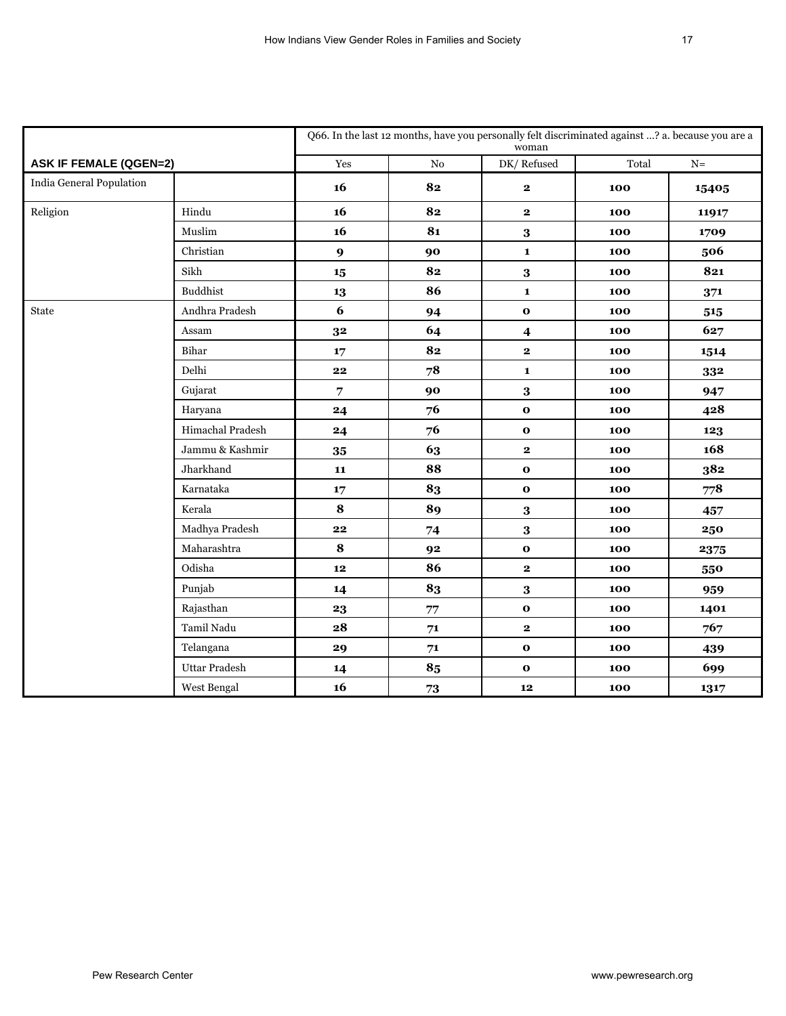|                               |                  | Q66. In the last 12 months, have you personally felt discriminated against ? a. because you are a<br>woman |            |                         |       |               |  |  |
|-------------------------------|------------------|------------------------------------------------------------------------------------------------------------|------------|-------------------------|-------|---------------|--|--|
| <b>ASK IF FEMALE (QGEN=2)</b> |                  | Yes                                                                                                        | ${\rm No}$ | DK/Refused              | Total | ${\bf N}$ $=$ |  |  |
| India General Population      |                  | 16                                                                                                         | 82         | $\mathbf{2}$            | 100   | 15405         |  |  |
| Religion                      | Hindu            | 16                                                                                                         | 82         | $\bf 2$                 | 100   | 11917         |  |  |
|                               | Muslim           | 16                                                                                                         | 81         | $\bf{3}$                | 100   | 1709          |  |  |
|                               | Christian        | $\boldsymbol{9}$                                                                                           | 90         | $\mathbf{1}$            | 100   | 506           |  |  |
|                               | Sikh             | 15                                                                                                         | 82         | $\bf{3}$                | 100   | 821           |  |  |
|                               | <b>Buddhist</b>  | 13                                                                                                         | 86         | $\mathbf 1$             | 100   | 371           |  |  |
| State                         | Andhra Pradesh   | $\boldsymbol{6}$                                                                                           | 94         | $\mathbf{o}$            | 100   | 515           |  |  |
|                               | Assam            | 32                                                                                                         | 64         | $\overline{\mathbf{4}}$ | 100   | 627           |  |  |
|                               | Bihar            | 17                                                                                                         | 82         | $\overline{\mathbf{2}}$ | 100   | 1514          |  |  |
|                               | Delhi            | 22                                                                                                         | 78         | $\mathbf{1}$            | 100   | 332           |  |  |
|                               | Gujarat          | 7                                                                                                          | 90         | $\bf{3}$                | 100   | 947           |  |  |
|                               | Haryana          | 24                                                                                                         | 76         | $\mathbf 0$             | 100   | 428           |  |  |
|                               | Himachal Pradesh | 24                                                                                                         | 76         | $\mathbf 0$             | 100   | 123           |  |  |
|                               | Jammu & Kashmir  | 35                                                                                                         | 63         | $\mathbf{2}$            | 100   | 168           |  |  |
|                               | Jharkhand        | 11                                                                                                         | 88         | $\mathbf 0$             | 100   | 382           |  |  |
|                               | Karnataka        | 17                                                                                                         | 83         | $\mathbf{o}$            | 100   | 778           |  |  |
|                               | Kerala           | 8                                                                                                          | 89         | $\bf{3}$                | 100   | 457           |  |  |
|                               | Madhya Pradesh   | $\bf{22}$                                                                                                  | 74         | $\bf{3}$                | 100   | 250           |  |  |
|                               | Maharashtra      | ${\bf 8}$                                                                                                  | 92         | $\mathbf{o}$            | 100   | 2375          |  |  |
|                               | Odisha           | $12$                                                                                                       | 86         | $\bf 2$                 | 100   | 550           |  |  |
|                               | Punjab           | 14                                                                                                         | 83         | $\bf{3}$                | 100   | 959           |  |  |
|                               | Rajasthan        | 23                                                                                                         | 77         | $\mathbf 0$             | 100   | 1401          |  |  |
|                               | Tamil Nadu       | 28                                                                                                         | ${\bf 71}$ | $\bf 2$                 | 100   | 767           |  |  |
|                               | Telangana        | 29                                                                                                         | ${\bf 71}$ | $\mathbf 0$             | 100   | 439           |  |  |
|                               | Uttar Pradesh    | 14                                                                                                         | 85         | $\mathbf 0$             | 100   | 699           |  |  |
|                               | West Bengal      | 16                                                                                                         | ${\bf 73}$ | 12                      | 100   | 1317          |  |  |